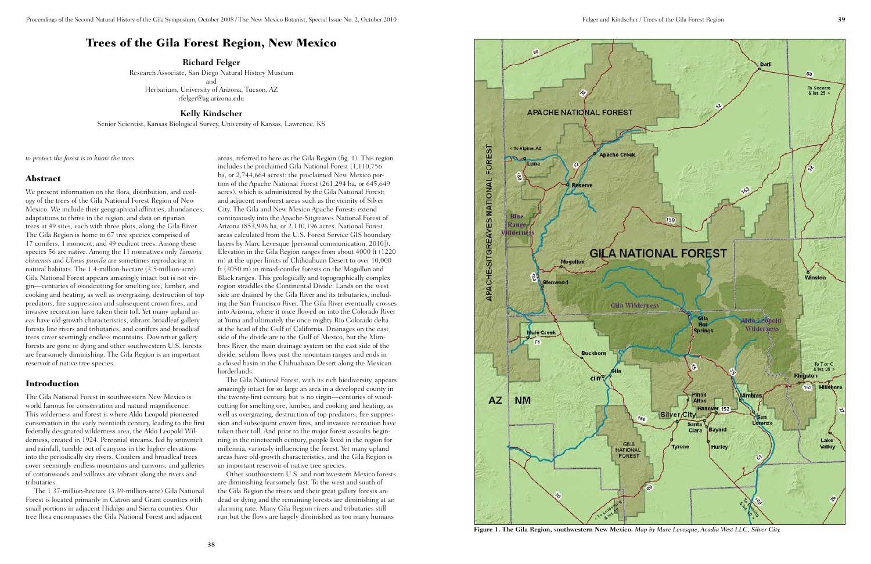# **APACHE NATIONAL FOREST FOREST** To Alpine, AZ **Dache Creek** Luna ě APACHE-SITGREAVES NATIONAL **RIn** Rang **lilderness** 昌 Glenwood **Gila Wilderness** ule Creek 78 **Buckhorn** cliff **AZ NM** 180 GILA **NATIONAL** FOREST



**Figure 1. The Gila Region, southwestern New Mexico.** *Map by Marc Levesque, Acadia West LLC, Silver City.*

## Trees of the Gila Forest Region, New Mexico

**Richard Felger**

Research Associate, San Diego Natural History Museum and Herbarium, University of Arizona, Tucson, AZ rfelger@ag.arizona.edu

#### **Kelly Kindscher**

Senior Scientist, Kansas Biological Survey, University of Kansas, Lawrence, KS

*to protect the forest is to know the trees*

#### Abstract

We present information on the flora, distribution, and ecology of the trees of the Gila National Forest Region of New Mexico. We include their geographical affinities, abundances, adaptations to thrive in the region, and data on riparian trees at 49 sites, each with three plots, along the Gila River. The Gila Region is home to 67 tree species comprised of 17 conifers, 1 monocot, and 49 eudicot trees. Among these species 56 are native. Among the 11 nonnatives only *Tamarix chinensis* and *Ulmus pumila* are sometimes reproducing in natural habitats. The 1.4-million-hectare (3.5-million-acre) Gila National Forest appears amazingly intact but is not virgin—centuries of woodcutting for smelting ore, lumber, and cooking and heating, as well as overgrazing, destruction of top predators, fire suppression and subsequent crown fires, and invasive recreation have taken their toll. Yet many upland areas have old-growth characteristics, vibrant broadleaf gallery forests line rivers and tributaries, and conifers and broadleaf trees cover seemingly endless mountains. Downriver gallery forests are gone or dying and other southwestern U.S. forests are fearsomely diminishing. The Gila Region is an important reservoir of native tree species.

#### Introduction

The Gila National Forest in southwestern New Mexico is world famous for conservation and natural magnificence. This wilderness and forest is where Aldo Leopold pioneered conservation in the early twentieth century, leading to the first federally designated wilderness area, the Aldo Leopold Wilderness, created in 1924. Perennial streams, fed by snowmelt and rainfall, tumble out of canyons in the higher elevations into the periodically dry rivers. Conifers and broadleaf trees cover seemingly endless mountains and canyons, and galleries of cottonwoods and willows are vibrant along the rivers and tributaries.

The 1.37-million-hectare (3.39-million-acre) Gila National Forest is located primarily in Catron and Grant counties with small portions in adjacent Hidalgo and Sierra counties. Our tree flora encompasses the Gila National Forest and adjacent

areas, referred to here as the Gila Region (fig. 1). This region includes the proclaimed Gila National Forest (1,110,756 ha, or 2,744,664 acres); the proclaimed New Mexico portion of the Apache National Forest (261,294 ha, or 645,649 acres), which is administered by the Gila National Forest; and adjacent nonforest areas such as the vicinity of Silver City. The Gila and New Mexico Apache Forests extend continuously into the Apache-Sitgreaves National Forest of Arizona (853,996 ha, or 2,110,196 acres. National Forest areas calculated from the U.S. Forest Service GIS boundary layers by Marc Levesque [personal communication, 2010]). Elevation in the Gila Region ranges from about 4000 ft (1220 m) at the upper limits of Chihuahuan Desert to over 10,000 ft (3050 m) in mixed-conifer forests on the Mogollon and Black ranges. This geologically and topographically complex region straddles the Continental Divide. Lands on the west side are drained by the Gila River and its tributaries, including the San Francisco River. The Gila River eventually crosses into Arizona, where it once flowed on into the Colorado River at Yuma and ultimately the once mighty Río Colorado delta at the head of the Gulf of California. Drainages on the east side of the divide are to the Gulf of Mexico, but the Mimbres River, the main drainage system on the east side of the divide, seldom flows past the mountain ranges and ends in a closed basin in the Chihuahuan Desert along the Mexican borderlands.

The Gila National Forest, with its rich biodiversity, appears amazingly intact for so large an area in a developed county in the twenty-first century, but is no virgin—centuries of woodcutting for smelting ore, lumber, and cooking and heating, as well as overgrazing, destruction of top predators, fire suppression and subsequent crown fires, and invasive recreation have taken their toll. And prior to the major forest assaults beginning in the nineteenth century, people lived in the region for millennia, variously influencing the forest. Yet many upland areas have old-growth characteristics, and the Gila Region is an important reservoir of native tree species.

Other southwestern U.S. and northwestern Mexico forests are diminishing fearsomely fast. To the west and south of the Gila Region the rivers and their great gallery forests are dead or dying and the remaining forests are diminishing at an alarming rate. Many Gila Region rivers and tributaries still run but the flows are largely diminished as too many humans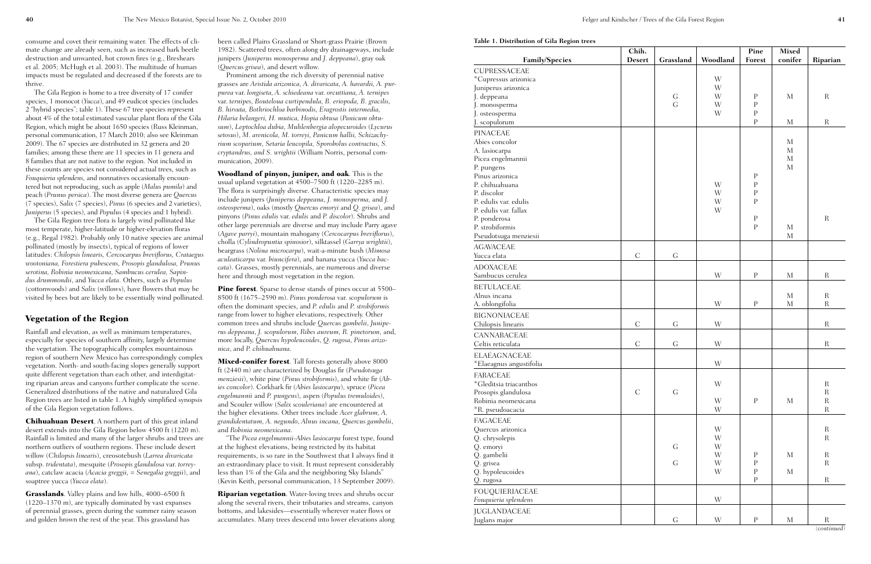|  | Table 1. Distribution of Gila Region trees |  |  |
|--|--------------------------------------------|--|--|

| rable 1. Distribution of Gila Region frees    | Chih.         |                |          | Pine                     | <b>Mixed</b> |                            |
|-----------------------------------------------|---------------|----------------|----------|--------------------------|--------------|----------------------------|
| <b>Family/Species</b>                         | <b>Desert</b> | Grassland      | Woodland | Forest                   | conifer      | Riparian                   |
| CUPRESSACEAE                                  |               |                |          |                          |              |                            |
| *Cupressus arizonica                          |               |                | W        |                          |              |                            |
| Juniperus arizonica                           |               |                | W        |                          |              |                            |
| J. deppeana                                   |               | G              | W        | ${\bf P}$                | M            | $\mathbf R$                |
| J. monosperma                                 |               | G              | W        | $\mathbf P$              |              |                            |
| J. osteosperma                                |               |                | W        | $\rm P$                  |              |                            |
| J. scopulorum                                 |               |                |          | $\mathbf{P}$             | M            | $\mathbf R$                |
| <b>PINACEAE</b>                               |               |                |          |                          |              |                            |
| Abies concolor                                |               |                |          |                          | $\mathbf{M}$ |                            |
| A. lasiocarpa                                 |               |                |          |                          | $\mathbf{M}$ |                            |
| Picea engelmannii                             |               |                |          |                          | $\mathbf{M}$ |                            |
| P. pungens                                    |               |                |          |                          | $\mathbf{M}$ |                            |
| Pinus arizonica                               |               |                |          | $\, {\bf P}$             |              |                            |
| P. chihuahuana                                |               |                | W        | $\rm P$                  |              |                            |
| P. discolor                                   |               |                | W        | $\rm P$                  |              |                            |
| P. edulis var. edulis                         |               |                | W        | $\mathbf{P}$             |              |                            |
| P. edulis var. fallax                         |               |                | W        |                          |              |                            |
| P. ponderosa                                  |               |                |          | $\, {\bf P}$             |              | $\mathbf R$                |
| P. strobiformis                               |               |                |          | $\mathbf{P}$             | $\mathbf{M}$ |                            |
| Pseudotsuga menziesii                         |               |                |          |                          | $\mathbf{M}$ |                            |
| <b>AGAVACEAE</b>                              |               |                |          |                          |              |                            |
| Yucca elata                                   | $\mathcal{C}$ | G              |          |                          |              |                            |
| <b>ADOXACEAE</b>                              |               |                |          |                          |              |                            |
| Sambucus cerulea                              |               |                | W        | ${\bf P}$                | M            | $\mathbf R$                |
|                                               |               |                |          |                          |              |                            |
| <b>BETULACEAE</b>                             |               |                |          |                          |              |                            |
| Alnus incana                                  |               |                |          | $\rm P$                  | $\mathbf{M}$ | $\mathbf R$<br>$\mathbf R$ |
| A. oblongifolia                               |               |                | W        |                          | $\mathbf M$  |                            |
| <b>BIGNONIACEAE</b>                           |               |                |          |                          |              |                            |
| Chilopsis linearis                            | $\mathbf C$   | $\mathsf{G}$   | W        |                          |              | $\mathbf R$                |
| <b>CANNABACEAE</b>                            |               |                |          |                          |              |                            |
| Celtis reticulata                             | $\mathbf C$   | G              | W        |                          |              | $\mathbf R$                |
| <b>ELAEAGNACEAE</b>                           |               |                |          |                          |              |                            |
| *Elaeagnus angustifolia                       |               |                | W        |                          |              |                            |
|                                               |               |                |          |                          |              |                            |
| <b>FABACEAE</b>                               |               |                | W        |                          |              | $\mathbf R$                |
| *Gleditsia triacanthos<br>Prosopis glandulosa | $\mathbf C$   | $\mathsf G$    |          |                          |              | $\mathbf R$                |
| Robinia neomexicana                           |               |                | W        | $\rm P$                  | $\mathbf{M}$ | $\rm R$                    |
| *R. pseudoacacia                              |               |                | W        |                          |              | $\rm R$                    |
|                                               |               |                |          |                          |              |                            |
| <b>FAGACEAE</b>                               |               |                |          |                          |              |                            |
| Quercus arizonica                             |               |                | W        |                          |              | $\mathbf R$                |
| Q. chrysolepis                                |               |                | W        |                          |              | $\mathbf R$                |
| Q. emoryi                                     |               | ${\mathcal G}$ | W        |                          |              |                            |
| Q. gambelii                                   |               | ${\rm G}$      | W<br>W   | ${\bf P}$<br>$\mathbf P$ | $\mathbf{M}$ | $\mathbf R$<br>$\mathbf R$ |
| Q. grisea<br>Q. hypoleucoides                 |               |                | W        | $\mathbf P$              | $\mathbf M$  |                            |
| Q. rugosa                                     |               |                |          | ${\bf P}$                |              | $\mathbf R$                |
|                                               |               |                |          |                          |              |                            |
| <b>FOUQUIERIACEAE</b>                         |               |                |          |                          |              |                            |
| Fouquieria splendens                          |               |                | W        |                          |              |                            |
| <b>JUGLANDACEAE</b>                           |               |                |          |                          |              |                            |
| Juglans major                                 |               | ${\mathcal G}$ | W        | ${\bf P}$                | $\mathbf{M}$ | $\mathbf R$                |

*(continued)*

consume and covet their remaining water. The effects of climate change are already seen, such as increased bark beetle destruction and unwanted, hot crown fires (e.g., Breshears et al. 2005; McHugh et al. 2003). The multitude of human impacts must be regulated and decreased if the forests are to thrive.

The Gila Region is home to a tree diversity of 17 conifer species, 1 monocot (*Yucca*), and 49 eudicot species (includes 2 "hybrid species"; table 1). These 67 tree species represent about 4% of the total estimated vascular plant flora of the Gila Region, which might be about 1650 species (Russ Kleinman, personal communication, 17 March 2010; also see Kleinman 2009). The 67 species are distributed in 32 genera and 20 families; among these there are 11 species in 11 genera and 8 families that are not native to the region. Not included in these counts are species not considered actual trees, such as *Fouquieria splendens,* and nonnatives occasionally encountered but not reproducing, such as apple (*Malus pumila*) and peach (*Prunus persica*). The most diverse genera are *Quercus* (7 species), *Salix* (7 species), *Pinus* (6 species and 2 varieties), *Juniperus* (5 species), and *Populus* (4 species and 1 hybrid).

Prominent among the rich diversity of perennial native grasses are *Aristida arizonica, A. divaricata, A. havardii, A. purpurea* var. *longiseta, A. schiedeana* var. *orcuttiana, A. ternipes*  var. *ternipes, Bouteloua curtipendula, B. eriopoda, B. gracilis, B. hirsuta, Bothriochloa barbinodis, Eragrostis intermedia, Hilaria belangeri, H. mutica, Hopia obtusa* (*Panicum obtusum*), *Leptochloa dubia, Muhlenbergia alopecuroides* (*Lycurus setosus*), *M. arenicola, M. torreyi, Panicum hallii, Schizachyrium scoparium, Setaria leucopila, Sporobolus contractus, S. cryptandrus, and S. wrightii* (William Norris, personal communication, 2009).

The Gila Region tree flora is largely wind pollinated like most temperate, higher-latitude or higher-elevation floras (e.g., Regal 1982). Probably only 10 native species are animal pollinated (mostly by insects), typical of regions of lower latitudes: *Chilopsis linearis, Cercocarpus breviflorus, Crataegus wootoniana, Forestiera pubescens, Prosopis glandulosa, Prunus serotina, Robinia neomexicana, Sambucus cerulea, Sapindus drummondii*, and *Yucca elata*. Others, such as *Populus* (cottonwoods) and *Salix* (willows), have flowers that may be visited by bees but are likely to be essentially wind pollinated.

### Vegetation of the Region

Pine forest. Sparse to dense stands of pines occur at 5500– 8500 ft (1675–2590 m). *Pinus ponderosa* var. *scopulorum* is often the dominant species, and *P. edulis* and *P. strobiformis* range from lower to higher elevations, respectively. Other common trees and shrubs include *Quercus gambelii*, *Juniperus deppeana*, *J. scopulorum*, *Ribes aureum, R. pinetorum,* and, more locally, *Quercus hypoleucoides*, *Q. rugosa*, *Pinus arizonica*, and *P. chihuahuana*.

Rainfall and elevation, as well as minimum temperatures, especially for species of southern affinity, largely determine the vegetation. The topographically complex mountainous region of southern New Mexico has correspondingly complex vegetation. North- and south-facing slopes generally support quite different vegetation than each other, and interdigitating riparian areas and canyons further complicate the scene. Generalized distributions of the native and naturalized Gila Region trees are listed in table 1. A highly simplified synopsis of the Gila Region vegetation follows.

Mixed-conifer forest. Tall forests generally above 8000 ft (2440 m) are characterized by Douglas fir (*Pseudotsuga menziesii*), white pine (*Pinus strobiformis*), and white fir (*Abies concolor*). Corkbark fir (*Abies lasiocarpa*), spruce (*Picea engelmannii* and *P. pungens*), aspen (*Populus tremuloides*), and Scouler willow (*Salix scouleriana*) are encountered at the higher elevations. Other trees include *Acer glabrum, A. grandidentatum, A. negundo*, *Alnus incana, Quercus gambelii*, and *Robinia neomexicana*.

Chihuahuan Desert. A northern part of this great inland desert extends into the Gila Region below 4500 ft (1220 m). Rainfall is limited and many of the larger shrubs and trees are northern outliers of southern regions. These include desert willow (*Chilopsis linearis*), creosotebush (*Larrea divaricata* subsp. *tridentata*), mesquite (*Prosopis glandulosa* var. *torreyana*), catclaw acacia (*Acacia greggii, = Senegalia greggii*), and soaptree yucca (*Yucca elata*).

Grasslands. Valley plains and low hills, 4000–6500 ft (1220–1370 m), are typically dominated by vast expanses of perennial grasses, green during the summer rainy season and golden brown the rest of the year. This grassland has

been called Plains Grassland or Short-grass Prairie (Brown 1982). Scattered trees, often along dry drainageways, include junipers (*Juniperus monosperma* and *J. deppeana*), gray oak (*Quercus grisea*), and desert willow.

Woodland of pinyon, juniper, and oak. This is the usual upland vegetation at 4500–7500 ft (1220–2285 m). The flora is surprisingly diverse. Characteristic species may include junipers (*Juniperus deppeana*, *J. monosperma,* and *J. osteosperma*), oaks (mostly *Quercus emoryi* and *Q. grisea*), and pinyons (*Pinus edulis* var. *edulis* and *P. discolor*). Shrubs and other large perennials are diverse and may include Parry agave (*Agave parryi*), mountain mahogany (*Cercocarpus breviflorus*), cholla (*Cylindropuntia spinosior*), silktassel (*Garrya wrightii*), beargrass (*Nolina microcarpa*), wait-a-minute bush (*Mimosa aculeaticarpa* var. *biuncifera*), and banana yucca (*Yucca baccata*). Grasses, mostly perennials, are numerous and diverse here and through most vegetation in the region.

"The *Picea engelmannii*-*Abies lasiocarpa* forest type, found at the highest elevations, being restricted by its habitat requirements, is so rare in the Southwest that I always find it an extraordinary place to visit. It must represent considerably less than 1% of the Gila and the neighboring Sky Islands" (Kevin Keith, personal communication, 13 September 2009).

Riparian vegetation. Water-loving trees and shrubs occur along the several rivers, their tributaries and streams, canyon bottoms, and lakesides—essentially wherever water flows or accumulates. Many trees descend into lower elevations along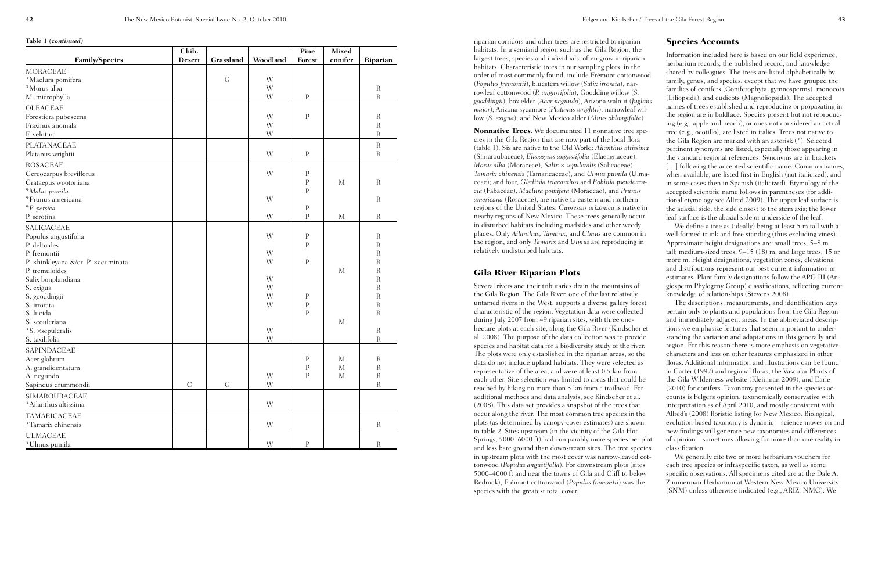riparian corridors and other trees are restricted to riparian habitats. In a semiarid region such as the Gila Region, the largest trees, species and individuals, often grow in riparian habitats. Characteristic trees in our sampling plots, in the order of most commonly found, include Frémont cottonwood (*Populus fremontii*), bluestem willow (*Salix irrorata*), narrowleaf cottonwood (*P. angustifolia*), Goodding willow (*S. gooddingii*), box elder (*Acer negundo*), Arizona walnut (*Juglans major*), Arizona sycamore (*Platanus wrightii*), narrowleaf willow (*S. exigua*), and New Mexico alder (*Alnus oblongifolia*).

Nonnative Trees. We documented 11 nonnative tree species in the Gila Region that are now part of the local flora (table 1). Six are native to the Old World: *Ailanthus altissima* (Simaroubaceae), *Elaeagnus angustifolia* (Elaeagnaceae), *Morus alba* (Moraceae), *Salix* × *sepulcralis* (Salicaceae), *Tamarix chinensis* (Tamaricaceae), and *Ulmus pumila* (Ulmaceae); and four, *Gleditsia triacanthos* and *Robinia pseudoacacia* (Fabaceae), *Maclura pomifera* (Moraceae), and *Prunus americana* (Rosaceae), are native to eastern and northern regions of the United States. *Cupressus arizonica* is native in nearby regions of New Mexico. These trees generally occur in disturbed habitats including roadsides and other weedy places. Only *Ailanthus*, *Tamarix*, and *Ulmus* are common in the region, and only *Tamarix* and *Ulmus* are reproducing in relatively undisturbed habitats.

#### Gila River Riparian Plots

Several rivers and their tributaries drain the mountains of the Gila Region. The Gila River, one of the last relatively untamed rivers in the West, supports a diverse gallery forest characteristic of the region. Vegetation data were collected during July 2007 from 49 riparian sites, with three onehectare plots at each site, along the Gila River (Kindscher et al. 2008). The purpose of the data collection was to provide species and habitat data for a biodiversity study of the river. The plots were only established in the riparian areas, so the data do not include upland habitats. They were selected as representative of the area, and were at least 0.5 km from each other. Site selection was limited to areas that could be reached by hiking no more than 5 km from a trailhead. For additional methods and data analysis, see Kindscher et al. (2008). This data set provides a snapshot of the trees that occur along the river. The most common tree species in the plots (as determined by canopy-cover estimates) are shown in table 2. Sites upstream (in the vicinity of the Gila Hot Springs, 5000–6000 ft) had comparably more species per plot and less bare ground than downstream sites. The tree species in upstream plots with the most cover was narrow-leaved cottonwood (*Populus angustifolia*). For downstream plots (sites 5000–4000 ft and near the towns of Gila and Cliff to below Redrock), Frémont cottonwood (*Populus fremontii*) was the species with the greatest total cover.

#### Species Accounts

Information included here is based on our field experience, herbarium records, the published record, and knowledge shared by colleagues. The trees are listed alphabetically by family, genus, and species, except that we have grouped the families of conifers (Coniferophyta, gymnosperms), monocots (Liliopsida), and eudicots (Magnoliopsida). The accepted names of trees established and reproducing or propagating in the region are in boldface. Species present but not reproducing (e.g., apple and peach), or ones not considered an actual tree (e.g., ocotillo), are listed in italics. Trees not native to the Gila Region are marked with an asterisk (\*). Selected pertinent synonyms are listed, especially those appearing in the standard regional references. Synonyms are in brackets [- ] following the accepted scientific name. Common names, when available, are listed first in English (not italicized), and in some cases then in Spanish (italicized). Etymology of the accepted scientific name follows in parentheses (for additional etymology see Allred 2009). The upper leaf surface is the adaxial side, the side closest to the stem axis; the lower leaf surface is the abaxial side or underside of the leaf.

We define a tree as (ideally) being at least 5 m tall with a well-formed trunk and free standing (thus excluding vines). Approximate height designations are: small trees, 5–8 m tall; medium-sized trees, 9–15 (18) m; and large trees, 15 or more m. Height designations, vegetation zones, elevations, and distributions represent our best current information or estimates. Plant family designations follow the APG III (Angiosperm Phylogeny Group) classifications, reflecting current knowledge of relationships (Stevens 2008).

The descriptions, measurements, and identification keys pertain only to plants and populations from the Gila Region and immediately adjacent areas. In the abbreviated descriptions we emphasize features that seem important to understanding the variation and adaptations in this generally arid region. For this reason there is more emphasis on vegetative characters and less on other features emphasized in other floras. Additional information and illustrations can be found in Carter (1997) and regional floras, the Vascular Plants of the Gila Wilderness website (Kleinman 2009), and Earle (2010) for conifers. Taxonomy presented in the species accounts is Felger's opinion, taxonomically conservative with interpretation as of April 2010, and mostly consistent with Allred's (2008) floristic listing for New Mexico. Biological, evolution-based taxonomy is dynamic—science moves on and new findings will generate new taxonomies and differences of opinion—sometimes allowing for more than one reality in classification.

We generally cite two or more herbarium vouchers for each tree species or infraspecific taxon, as well as some specific observations. All specimens cited are at the Dale A. Zimmerman Herbarium at Western New Mexico University (SNM) unless otherwise indicated (e.g., ARIZ, NMC). We

| <b>Family/Species</b>             | Chih.<br><b>Desert</b> | Grassland      | Woodland                | Pine<br>Forest | <b>Mixed</b><br>conifer |                |
|-----------------------------------|------------------------|----------------|-------------------------|----------------|-------------------------|----------------|
|                                   |                        |                |                         |                |                         | Riparian       |
| <b>MORACEAE</b>                   |                        |                |                         |                |                         |                |
| *Maclura pomifera                 |                        | $\mathsf G$    | W                       |                |                         |                |
| *Morus alba                       |                        |                | W                       |                |                         | $\mathbf R$    |
| M. microphylla                    |                        |                | W                       | $\mathbf{P}$   |                         | $\overline{R}$ |
| OLEACEAE                          |                        |                |                         |                |                         |                |
| Forestiera pubescens              |                        |                | W                       | $\mathbf P$    |                         | $\mathbf R$    |
| Fraxinus anomala                  |                        |                | W                       |                |                         | $\mathbf R$    |
| F. velutina                       |                        |                | W                       |                |                         | $\mathbf R$    |
| PLATANACEAE                       |                        |                |                         |                |                         | $\mathbf R$    |
| Platanus wrightii                 |                        |                | W                       | $\mathbf{P}$   |                         | $\mathbf R$    |
| <b>ROSACEAE</b>                   |                        |                |                         |                |                         |                |
| Cercocarpus breviflorus           |                        |                | W                       | $\mathbf{P}$   |                         |                |
| Crataegus wootoniana              |                        |                |                         | $\mathbf{P}$   | M                       | $\mathbf R$    |
| *Malus pumila                     |                        |                |                         | P              |                         |                |
| *Prunus americana                 |                        |                | W                       |                |                         | $\mathbf R$    |
| *P. persica                       |                        |                |                         | P              |                         |                |
| P. serotina                       |                        |                | W                       | $\mathbf{P}$   | $\mathbf{M}$            | $\mathbf R$    |
| SALICACEAE                        |                        |                |                         |                |                         |                |
| Populus angustifolia              |                        |                | W                       | $\rm P$        |                         | $\mathbf R$    |
| P. deltoides                      |                        |                |                         | $\mathbf{P}$   |                         | $\mathbf R$    |
| P. fremontii                      |                        |                | W                       |                |                         | $\mathbf R$    |
| P. xhinkleyana &/or P. xacuminata |                        |                | W                       | ${\bf P}$      |                         | $\mathbf R$    |
| P. tremuloides                    |                        |                |                         |                | M                       | $\mathbf R$    |
| Salix bonplandiana                |                        |                | W                       |                |                         | $\mathbf R$    |
| S. exigua                         |                        |                | W                       |                |                         | $\mathbf R$    |
| S. gooddingii                     |                        |                | W                       | $\rm P$        |                         | $\mathbf R$    |
| S. irrorata                       |                        |                | W                       | ${\bf P}$      |                         | $\mathbf R$    |
| S. lucida                         |                        |                |                         | $\mathbf{P}$   |                         | $\overline{R}$ |
| S. scouleriana                    |                        |                |                         |                | M                       |                |
| *S. xsepulcralis                  |                        |                | $\ensuremath{\text{W}}$ |                |                         | $\mathbf R$    |
| S. taxilifolia                    |                        |                | W                       |                |                         | $\mathbf R$    |
| SAPINDACEAE                       |                        |                |                         |                |                         |                |
| Acer glabrum                      |                        |                |                         | ${\bf P}$      | M                       | $\mathbf R$    |
| A. grandidentatum                 |                        |                |                         | ${\bf P}$      | $\mathbf M$             | $\rm R$        |
| A. negundo                        |                        |                | W                       | ${\bf P}$      | $\mathbf M$             | $\mathbf R$    |
| Sapindus drummondii               | $\mathcal{C}$          | ${\mathcal G}$ | W                       |                |                         | $\rm R$        |
| <b>SIMAROUBACEAE</b>              |                        |                |                         |                |                         |                |
| *Ailanthus altissima              |                        |                | W                       |                |                         |                |
|                                   |                        |                |                         |                |                         |                |
| TAMARICACEAE                      |                        |                |                         |                |                         |                |
| *Tamarix chinensis                |                        |                | W                       |                |                         | $\rm R$        |
| <b>ULMACEAE</b>                   |                        |                |                         |                |                         |                |
| *Ulmus pumila                     |                        |                | $\ensuremath{\text{W}}$ | ${\bf P}$      |                         | $\mathbf R$    |

**Table 1** *(continued)*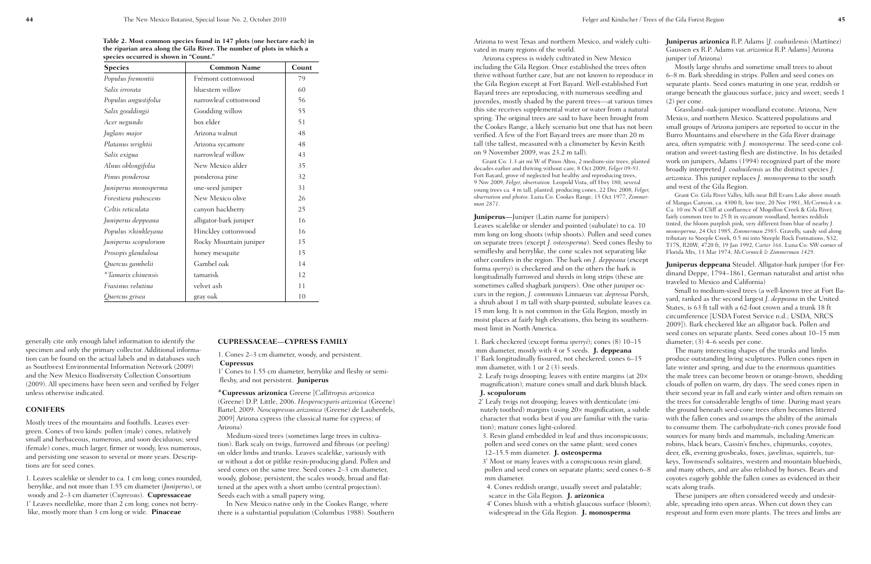Arizona to west Texas and northern Mexico, and widely cultivated in many regions of the world.

Arizona cypress is widely cultivated in New Mexico including the Gila Region. Once established the trees often thrive without further care, but are not known to reproduce in the Gila Region except at Fort Bayard. Well-established Fort Bayard trees are reproducing, with numerous seedling and juveniles, mostly shaded by the parent trees—at various times this site receives supplemental water or water from a natural spring. The original trees are said to have been brought from the Cookes Range, a likely scenario but one that has not been verified. A few of the Fort Bayard trees are more than 20 m tall (the tallest, measured with a clinometer by Kevin Keith on 9 November 2009, was 23.2 m tall).

Grant Co: 1.3 air mi W of Pinos Altos, 2 medium-size trees, planted decades earlier and thriving without care, 8 Oct 2009, *Felger 09-91*. Fort Bayard, grove of neglected but healthy and reproducing trees, 9 Nov 2009, *Felger, observation.* Leopold Vista, off Hwy 180*,* several young trees ca. 4 m tall, planted, producing cones, 22 Dec 2008*, Felger, observation and photos*. Luna Co: Cookes Range, 15 Oct 1977, *Zimmerman 2871*.

2. Leafy twigs drooping; leaves with entire margins (at  $20\times$ magnification); mature cones small and dark bluish black. **J. scopulorum**

#### **Juniperus—**Juniper (Latin name for junipers)

Leaves scalelike or slender and pointed (subulate) to ca. 10 mm long on long shoots (whip shoots). Pollen and seed cones on separate trees (except *J. osteosperma*). Seed cones fleshy to semifleshy and berrylike, the cone scales not separating like other conifers in the region. The bark on *J. deppeana* (except forma *sperryi*) is checkered and on the others the bark is longitudinally furrowed and shreds in long strips (these are sometimes called shagbark junipers). One other juniper occurs in the region, *J. communis* Linnaeus var. *depressa* Pursh, a shrub about 1 m tall with sharp-pointed, subulate leaves ca. 15 mm long. It is not common in the Gila Region, mostly in moist places at fairly high elevations, this being its southernmost limit in North America.

1. Bark checkered (except forma *sperryi*); cones (8) 10–15 mm diameter, mostly with 4 or 5 seeds. **J. deppeana** 1' Bark longitudinally fissured, not checkered; cones 6–15 mm diameter, with 1 or 2 (3) seeds.

2' Leafy twigs not drooping; leaves with denticulate (minutely toothed) margins (using 20× magnification, a subtle character that works best if you are familiar with the variation); mature cones light-colored.

3. Resin gland embedded in leaf and thus inconspicuous; pollen and seed cones on the same plant; seed cones 12–15.5 mm diameter. **J. osteosperma**

3' Most or many leaves with a conspicuous resin gland; pollen and seed cones on separate plants; seed cones 6–8 mm diameter. 4. Cones reddish orange, usually sweet and palatable;

scarce in the Gila Region. **J. arizonica**

4' Cones bluish with a whitish glaucous surface (bloom); widespread in the Gila Region. **J. monosperma**

**Juniperus arizonica** R.P. Adams [*J. coahuilensis* (Martínez) Gaussen ex R.P. Adams var. *arizonica* R.P. Adams] Arizona juniper (of Arizona)

Mostly large shrubs and sometime small trees to about 6–8 m. Bark shredding in strips. Pollen and seed cones on separate plants. Seed cones maturing in one year, reddish or orange beneath the glaucous surface, juicy and sweet; seeds 1 (2) per cone.

Grassland–oak-juniper woodland ecotone. Arizona, New Mexico, and northern Mexico. Scattered populations and small groups of Arizona junipers are reported to occur in the Burro Mountains and elsewhere in the Gila River drainage area, often sympatric with *J. monosperma*. The seed-cone coloration and sweet-tasting flesh are distinctive. In his detailed work on junipers, Adams (1994) recognized part of the more broadly interpreted *J. coahuilensis* as the distinct species *J. arizonica*. This juniper replaces *J. monosperma* to the south and west of the Gila Region.

Grant Co: Gila River Valley, hills near Bill Evans Lake above mouth of Mangas Canyon, ca. 4300 ft, low tree, 20 Nov 1981, *McCormick s.n*. Ca. 10 mi N of Cliff at confluence of Mogollon Creek & Gila River, fairly common tree to 25 ft in sycamore woodland, berries reddish tinted, the bloom purplish pink, very different from blue of nearby *J. monosperma*, 24 Oct 1985, *Zimmerman 2985*. Gravelly, sandy soil along tributary to Steeple Creek, 0.5 mi into Steeple Rock Formations, S32, T17S, R20W, 4720 ft, 19 Jan 1992, *Carter 366*. Luna Co: SW corner of Florida Mts, 13 Mar 1974, *McCormick & Zimmerman 1429*.

**Juniperus deppeana** Steudel. Alligator-bark juniper (for Ferdinand Deppe, 1794–1861, German naturalist and artist who traveled to Mexico and California)

Small to medium-sized trees (a well-known tree at Fort Bayard, ranked as the second largest *J. deppeana* in the United States, is 63 ft tall with a 62-foot crown and a trunk 18 ft circumference [USDA Forest Service n.d.; USDA, NRCS 2009]). Bark checkered like an alligator back. Pollen and seed cones on separate plants. Seed cones about 10–15 mm diameter; (3) 4–6 seeds per cone.

The many interesting shapes of the trunks and limbs produce outstanding living sculptures. Pollen cones ripen in late winter and spring, and due to the enormous quantities the male trees can become brown or orange-brown, shedding clouds of pollen on warm, dry days. The seed cones ripen in their second year in fall and early winter and often remain on the trees for considerable lengths of time. During mast years the ground beneath seed-cone trees often becomes littered with the fallen cones and swamps the ability of the animals to consume them. The carbohydrate-rich cones provide food sources for many birds and mammals, including American robins, black bears, Cassin's finches, chipmunks, coyotes, deer, elk, evening grosbeaks, foxes, javelinas, squirrels, turkeys, Townsend's solitaires, western and mountain bluebirds, and many others, and are also relished by horses. Bears and coyotes eagerly gobble the fallen cones as evidenced in their scats along trails.

These junipers are often considered weedy and undesirable, spreading into open areas. When cut down they can resprout and form even more plants. The trees and limbs are

generally cite only enough label information to identify the specimen and only the primary collector. Additional information can be found on the actual labels and in databases such as Southwest Environmental Information Network (2009) and the New Mexico Biodiversity Collection Consortium (2009). All specimens have been seen and verified by Felger unless otherwise indicated.

#### **CONIFERS**

Mostly trees of the mountains and foothills. Leaves evergreen. Cones of two kinds: pollen (male) cones, relatively small and herbaceous, numerous, and soon deciduous; seed (female) cones, much larger, firmer or woody, less numerous, and persisting one season to several or more years. Descriptions are for seed cones.

1. Leaves scalelike or slender to ca. 1 cm long; cones rounded, berrylike, and not more than 1.55 cm diameter (*Juniperus*), or woody and 2–3 cm diameter (*Cupressus*). **Cupressaceae** 1' Leaves needlelike, more than 2 cm long; cones not berrylike, mostly more than 3 cm long or wide. **Pinaceae**

#### **CUPRESSACEAE—CYPRESS FAMILY**

1. Cones 2–3 cm diameter, woody, and persistent. **Cupressus**

1' Cones to 1.55 cm diameter, berrylike and fleshy or semifleshy, and not persistent. **Juniperus**

**\*Cupressus arizonica** Greene [*Callitropsis arizonica* (Greene) D.P. Little, 2006. *Hesperocyparis arizonica* (Greene) Bartel, 2009. *Neocupressus arizonica* (Greene) de Laubenfels, 2009] Arizona cypress (the classical name for cypress; of Arizona)

Medium-sized trees (sometimes large trees in cultivation). Bark scaly on twigs, furrowed and fibrous (or peeling) on older limbs and trunks. Leaves scalelike, variously with or without a dot or pitlike resin-producing gland. Pollen and seed cones on the same tree. Seed cones 2–3 cm diameter, woody, globose, persistent, the scales woody, broad and flattened at the apex with a short umbo (central projection). Seeds each with a small papery wing.

In New Mexico native only in the Cookes Range, where there is a substantial population (Columbus 1988). Southern

**Table 2. Most common species found in 147 plots (one hectare each) in the riparian area along the Gila River. The number of plots in which a species occurred is shown in "Count."**

| <b>Species</b>       | <b>Common Name</b>     | Count |
|----------------------|------------------------|-------|
| Populus fremontii    | Frémont cottonwood     | 79    |
| Salix irrorata       | bluestem willow        | 60    |
| Populus angustifolia | narrowleaf cottonwood  | 56    |
| Salix gooddingii     | Goodding willow        | 55    |
| Acer negundo         | box elder              | 51    |
| Juglans major        | Arizona walnut         | 48    |
| Platanus wrightii    | Arizona sycamore       | 48    |
| Salix exigua         | narrowleaf willow      | 43    |
| Alnus oblongifolia   | New Mexico alder       | 35    |
| Pinus ponderosa      | ponderosa pine         | 32    |
| Juniperus monosperma | one-seed juniper       | 31    |
| Forestiera pubescens | New Mexico olive       | 26    |
| Celtis reticulata    | canyon hackberry       | 25    |
| Juniperus deppeana   | alligator-bark juniper | 16    |
| Populus xhinkleyana  | Hinckley cottonwood    | 16    |
| Juniperus scopulorum | Rocky Mountain juniper | 15    |
| Prosopis glandulosa  | honey mesquite         | 15    |
| Quercus gambelii     | Gambel oak             | 14    |
| *Tamarix chinensis   | tamarisk               | 12    |
| Fraxinus velutina    | velvet ash             | 11    |
| Quercus grisea       | gray oak               | 10    |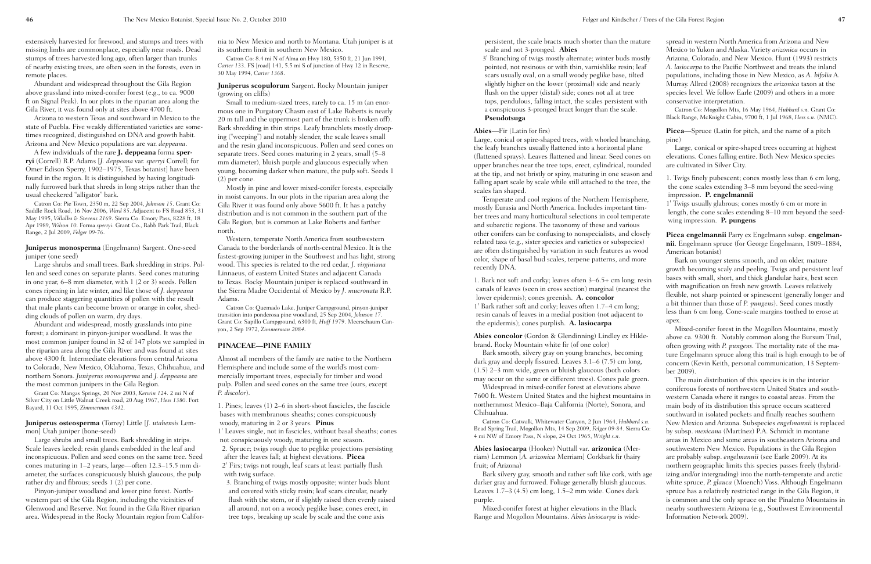persistent, the scale bracts much shorter than the mat scale and not 3-pronged. **Abies**

3' Branching of twigs mostly alternate; winter buds mostly pointed, not resinous or with thin, varnishlike resin;  $\log$ scars usually oval, on a small woody peglike base, tilted slightly higher on the lower (proximal) side and nearly flush on the upper (distal) side; cones not all at tree tops, pendulous, falling intact, the scales persistent  $w$ a conspicuous 3-pronged bract longer than the scale. **Pseudotsuga**

Large, conical or spire-shaped trees, with whorled branchi the leafy branches usually flattened into a horizontal plane (flattened sprays). Leaves flattened and linear. Seed cones upper branches near the tree tops, erect, cylindrical, rounded at the tip, and not bristly or spiny, maturing in one season falling apart scale by scale while still attached to the tree, scales fan shaped.

#### **Abies**—Fir (Latin for firs)

Temperate and cool regions of the Northern Hemisphe mostly Eurasia and North America. Includes important tim ber trees and many horticultural selections in cool temperature. and subarctic regions. The taxonomy of these and various other conifers can be confusing to nonspecialists, and closely related taxa (e.g., sister species and varieties or subspecies) are often distinguished by variation in such features as wo color, shape of basal bud scales, terpene patterns, and mo recently DNA.

1. Bark not soft and corky; leaves often  $3-6.5+$  cm long; res canals of leaves (seen in cross section) marginal (nearest lower epidermis); cones greenish. **A. concolor** 1' Bark rather soft and corky; leaves often 1.7–4 cm long; resin canals of leaves in a medial position (not adjacent to the epidermis); cones purplish. **A. lasiocarpa**

Abies concolor (Gordon & Glendinning) Lindley ex Hildebrand. Rocky Mountain white fir (of one color)

Bark smooth, silvery gray on young branches, becoming dark gray and deeply fissured. Leaves 3.1–6 (7.5) cm long, (1.5) 2–3 mm wide, green or bluish glaucous (both colors may occur on the same or different trees). Cones pale green.

Catron Co: Catwalk, Whitewater Canyon, 2 Jun 1964, *Hubbard* Bead Spring Trail, Mogollon Mts, 14 Sep 2009, *Felger 09-84*. Sierra 4 mi NW of Emory Pass, N slope, 24 Oct 1965, *Wright s.n.*

Bark silvery gray, smooth and rather soft like cork, with darker gray and furrowed. Foliage generally bluish glaucous Leaves 1.7–3 (4.5) cm long, 1.5–2 mm wide. Cones dark purple.

Widespread in mixed-conifer forest at elevations above 7600 ft. Western United States and the highest mountain northernmost Mexico–Baja California (Norte), Sonora, an Chihuahua.

**Abies lasiocarpa** (Hooker) Nuttall var*.* **arizonica** (Merriam) Lemmon [*A. arizonica* Merriam] Corkbark fir (hairy fruit; of Arizona)

| ture<br>əstly<br>эaf<br>d<br>ith                 | spread in western North America from Arizona and New<br>Mexico to Yukon and Alaska. Variety arizonica occurs in<br>Arizona, Colorado, and New Mexico. Hunt (1993) restricts<br>A. lasiocarpa to the Pacific Northwest and treats the inland<br>populations, including those in New Mexico, as A. bifolia A.<br>Murray. Allred (2008) recognizes the arizonica taxon at the<br>species level. We follow Earle (2009) and others in a more<br>conservative interpretation.<br>Catron Co: Mogollon Mts, 16 May 1964, Hubbard s.n. Grant Co:<br>Black Range, McKnight Cabin, 9700 ft, 1 Jul 1968, Hess s.n. (NMC). |
|--------------------------------------------------|----------------------------------------------------------------------------------------------------------------------------------------------------------------------------------------------------------------------------------------------------------------------------------------------------------------------------------------------------------------------------------------------------------------------------------------------------------------------------------------------------------------------------------------------------------------------------------------------------------------|
| ing,<br>е<br>s on<br>ıded<br>⊥and<br>the<br>ere, | <b>Picea</b> —Spruce (Latin for pitch, and the name of a pitch<br>pine)<br>Large, conical or spire-shaped trees occurring at highest<br>elevations. Cones falling entire. Both New Mexico species<br>are cultivated in Silver City.<br>1. Twigs finely pubescent; cones mostly less than 6 cm long,<br>the cone scales extending 3-8 mm beyond the seed-wing<br>impression. P. engelmannii<br>1' Twigs usually glabrous; cones mostly 6 cm or more in                                                                                                                                                          |
| m-<br>rate                                       | length, the cone scales extending 8-10 mm beyond the seed-<br>wing impression. P. pungens                                                                                                                                                                                                                                                                                                                                                                                                                                                                                                                      |
| sely<br>s)<br>boc<br>жe                          | Picea engelmannii Parry ex Engelmann subsp. engelman-<br>nii. Engelmann spruce (for George Engelmann, 1809-1884,<br>American botanist)<br>Bark on younger stems smooth, and on older, mature                                                                                                                                                                                                                                                                                                                                                                                                                   |
| esin'<br>the                                     | growth becoming scaly and peeling. Twigs and persistent leaf<br>bases with small, short, and thick glandular hairs, best seen<br>with magnification on fresh new growth. Leaves relatively<br>flexible, not sharp pointed or spinescent (generally longer and<br>a bit thinner than those of P. pungens). Seed cones mostly<br>less than 6 cm long. Cone-scale margins toothed to erose at                                                                                                                                                                                                                     |
| 0<br>de-                                         | apex.<br>Mixed-conifer forest in the Mogollon Mountains, mostly<br>above ca. 9300 ft. Notably common along the Bursum Trail,                                                                                                                                                                                                                                                                                                                                                                                                                                                                                   |
| g<br>5,                                          | often growing with P. pungens. The mortality rate of the ma-<br>ture Engelmann spruce along this trail is high enough to be of<br>concern (Kevin Keith, personal communication, 13 Septem-                                                                                                                                                                                                                                                                                                                                                                                                                     |
| en.<br>ıs in<br>ıd                               | ber 2009).<br>The main distribution of this species is in the interior<br>coniferous forests of northwestern United States and south-<br>western Canada where it ranges to coastal areas. From the<br>main body of its distribution this spruce occurs scattered<br>southward in isolated pockets and finally reaches southern                                                                                                                                                                                                                                                                                 |
| s.n.<br>ι Co:                                    | New Mexico and Arizona. Subspecies engelmannii is replaced<br>by subsp. mexicana (Martínez) P.A. Schmidt in montane<br>areas in Mexico and some areas in southeastern Arizona and<br>southwestern New Mexico. Populations in the Gila Region                                                                                                                                                                                                                                                                                                                                                                   |
| age<br>ЦS.                                       | are probably subsp. engelmannii (see Earle 2009). At its<br>northern geographic limits this species passes freely (hybrid-<br>izing and/or intergrading) into the north-temperate and arctic<br>white spruce, P. glauca (Moench) Voss. Although Engelmann<br>spruce has a relatively restricted range in the Gila Region, it<br>is common and the only spruce on the Pinaleño Mountains in<br>nearby southwestern Arizona (e.g., Southwest Environmental<br>Information Network 2009).                                                                                                                         |
|                                                  |                                                                                                                                                                                                                                                                                                                                                                                                                                                                                                                                                                                                                |

Mixed-conifer forest at higher elevations in the Black Range and Mogollon Mountains. *Abies lasiocarpa* is wide-

**Juniperus monosperma** (Engelmann) Sargent. One-seed juniper (one seed)

Small to medium-sized trees, rarely to ca. 15 m (an enormous one in Purgatory Chasm east of Lake Roberts is nearly 20 m tall and the uppermost part of the trunk is broken off). Bark shredding in thin strips. Leafy branchlets mostly drooping ("weeping") and notably slender, the scale leaves small and the resin gland inconspicuous. Pollen and seed cones on separate trees. Seed cones maturing in 2 years, small (5–8 mm diameter), bluish purple and glaucous especially when young, becoming darker when mature, the pulp soft. Seeds 1 (2) per cone.

2' Firs; twigs not rough, leaf scars at least partially flush with twig surface.

extensively harvested for firewood, and stumps and trees with missing limbs are commonplace, especially near roads. Dead stumps of trees harvested long ago, often larger than trunks of nearby existing trees, are often seen in the forests, even in remote places.

Abundant and widespread throughout the Gila Region above grassland into mixed-conifer forest (e.g., to ca. 9000 ft on Signal Peak). In our plots in the riparian area along the Gila River, it was found only at sites above 4700 ft.

Arizona to western Texas and southward in Mexico to the state of Puebla. Five weakly differentiated varieties are sometimes recognized, distinguished on DNA and growth habit. Arizona and New Mexico populations are var. *deppeana*.

A few individuals of the rare **J. deppeana** forma **sperryi** (Correll) R.P. Adams [*J. deppeana* var. *sperryi* Correll; for Omer Edison Sperry, 1902–1975, Texas botanist] have been found in the region. It is distinguished by having longitudinally furrowed bark that shreds in long strips rather than the usual checkered "alligator" bark.

Catron Co: Pie Town, 2350 m, 22 Sep 2004, *Johnson 15*. Grant Co: Saddle Rock Road, 16 Nov 2006, *Ward 85*. Adjacent to FS Road 853, 31 May 1995, *Villalba & Stevens 2169*. Sierra Co: Emory Pass, 8228 ft, 18 Apr 1989, *Wilson 10*. Forma *sperryi*: Grant Co., Rabb Park Trail, Black Range, 2 Jul 2009, *Felger 09-76*.

Large shrubs and small trees. Bark shredding in strips. Pollen and seed cones on separate plants. Seed cones maturing in one year, 6–8 mm diameter, with 1 (2 or 3) seeds. Pollen cones ripening in late winter, and like those of *J. deppeana* can produce staggering quantities of pollen with the result that male plants can become brown or orange in color, shedding clouds of pollen on warm, dry days.

Abundant and widespread, mostly grasslands into pine forest; a dominant in pinyon-juniper woodland. It was the most common juniper found in 32 of 147 plots we sampled in the riparian area along the Gila River and was found at sites above 4300 ft. Intermediate elevations from central Arizona to Colorado, New Mexico, Oklahoma, Texas, Chihuahua, and northern Sonora. *Juniperus monosperma* and *J. deppeana* are the most common junipers in the Gila Region.

Grant Co: Mangas Springs, 20 Nov 2003, *Kerwin 124*. 2 mi N of Silver City on Little Walnut Creek road, 20 Aug 1967, *Hess 1380*. Fort Bayard, 11 Oct 1995, *Zimmerman 4342*.

**Juniperus osteosperma** (Torrey) Little [*J. utahensis* Lemmon] Utah juniper (bone-seed)

Large shrubs and small trees. Bark shredding in strips. Scale leaves keeled; resin glands embedded in the leaf and inconspicuous. Pollen and seed cones on the same tree. Seed cones maturing in 1–2 years, large—often 12.3–15.5 mm diameter, the surfaces conspicuously bluish glaucous, the pulp rather dry and fibrous; seeds 1 (2) per cone.

Pinyon-juniper woodland and lower pine forest. Northwestern part of the Gila Region, including the vicinities of Glenwood and Reserve. Not found in the Gila River riparian area. Widespread in the Rocky Mountain region from Califor-

nia to New Mexico and north to Montana. Utah juniper is at its southern limit in southern New Mexico.

Catron Co: 8.4 mi N of Alma on Hwy 180, 5350 ft, 21 Jun 1991, *Carter 133*. FS [road] 141, 5.5 mi S of junction of Hwy 12 in Reserve, 30 May 1994, *Carter 1368*.

#### **Juniperus scopulorum** Sargent. Rocky Mountain juniper (growing on cliffs)

Mostly in pine and lower mixed-conifer forests, especially in moist canyons. In our plots in the riparian area along the Gila River it was found only above 5600 ft. It has a patchy distribution and is not common in the southern part of the Gila Region, but is common at Lake Roberts and farther north.

Western, temperate North America from southwestern Canada to the borderlands of north-central Mexico. It is the fastest-growing juniper in the Southwest and has light, strong wood. This species is related to the red cedar, *J. virginiana* Linnaeus, of eastern United States and adjacent Canada to Texas. Rocky Mountain juniper is replaced southward in the Sierra Madre Occidental of Mexico by *J. mucronata* R.P. Adams.

Catron Co: Quemado Lake, Juniper Campground, pinyon-juniper transition into ponderosa pine woodland, 25 Sep 2004, *Johnson 17*. Grant Co: Sapillo Campground, 6300 ft, *Huff 1979*. Meerschaum Canyon, 2 Sep 1972, *Zimmerman 2084*.

#### **PINACEAE—PINE FAMILY**

Almost all members of the family are native to the Northern Hemisphere and include some of the world's most commercially important trees, especially for timber and wood pulp. Pollen and seed cones on the same tree (ours, except *P. discolor*).

1. Pines; leaves (1) 2–6 in short-shoot fascicles, the fascicle bases with membranous sheaths; cones conspicuously woody, maturing in 2 or 3 years. **Pinus**

1' Leaves single, not in fascicles, without basal sheaths; cones not conspicuously woody, maturing in one season.

2. Spruce; twigs rough due to peglike projections persisting after the leaves fall; at highest elevations. **Picea**

3. Branching of twigs mostly opposite; winter buds blunt and covered with sticky resin; leaf scars circular, nearly flush with the stem, or if slightly raised then evenly raised all around, not on a woody peglike base; cones erect, in tree tops, breaking up scale by scale and the cone axis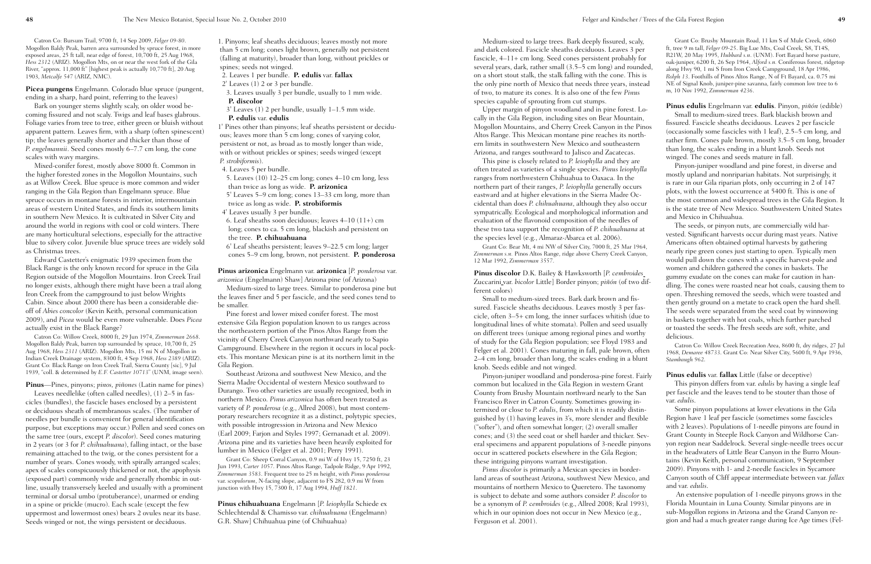Medium-sized to large trees. Bark deeply fissured, scaly, and dark colored. Fascicle sheaths deciduous. Leaves 3 per fascicle, 4–11+ cm long. Seed cones persistent probably for several years, dark, rather small (3.5–5 cm long) and rounded, on a short stout stalk, the stalk falling with the cone. This is the only pine north of Mexico that needs three years, instead of two, to mature its cones. It is also one of the few *Pinus* species capable of sprouting from cut stumps.

Upper margin of pinyon woodland and in pine forest. Locally in the Gila Region, including sites on Bear Mountain, Mogollon Mountains, and Cherry Creek Canyon in the Pinos Altos Range. This Mexican montane pine reaches its northern limits in southwestern New Mexico and southeastern Arizona, and ranges southward to Jalisco and Zacatecas.

This pine is closely related to *P. leiophylla* and they are often treated as varieties of a single species. *Pinus leiophylla* ranges from northwestern Chihuahua to Oaxaca. In the northern part of their ranges, *P. leiophylla* generally occurs eastward and at higher elevations in the Sierra Madre Occidental than does *P. chihuahuana*, although they also occur sympatrically. Ecological and morphological information and evaluation of the flavonoid composition of the needles of these two taxa support the recognition of *P. chihuahuana* at the species level (e.g., Almaraz-Abarca et al. 2006).

Grant Co: Bear Mt, 4 mi NW of Silver City, 7000 ft, 25 Mar 1964, *Zimmerman s.n.* Pinos Altos Range, ridge above Cherry Creek Canyon, 12 Mar 1992, *Zimmerman 3557*.

**Pinus discolor** D.K. Bailey & Hawksworth [*P. cembroides* Zuccarini var. *bicolor* Little] Border pinyon; *piñón* (of two different colors)

Grant Co: Brushy Mountain Road, 11 km S of Mule Creek, 6060 ft, tree 9 m tall, *Felger 09-25*. Big Lue Mts, Coal Creek, S8, T14S, R21W, 20 May 1995, *Hubbard s.n*. (UNM). Fort Bayard horse pasture, oak-juniper, 6200 ft, 26 Sep 1964, *Alford s.n.* Coniferous forest, ridgetop along Hwy 90, 1 mi S from Iron Creek Campground, 18 Apr 1986, *Rolph 13*. Foothills of Pinos Altos Range, N of Ft Bayard, ca. 0.75 mi NE of Signal Knob, juniper-pine savanna, fairly common low tree to 6 m, 10 Nov 1992, *Zimmerman 4236*.

Small to medium-sized trees. Bark dark brown and fissured. Fascicle sheaths deciduous. Leaves mostly 3 per fascicle, often 3–5+ cm long, the inner surfaces whitish (due to longitudinal lines of white stomata). Pollen and seed usually on different trees (unique among regional pines and worthy of study for the Gila Region population; see Floyd 1983 and Felger et al. 2001). Cones maturing in fall, pale brown, often 2–4 cm long, broader than long, the scales ending in a blunt knob. Seeds edible and not winged. then gently ground on a metate to crack open the hard shell. The seeds were separated from the seed coat by winnowing in baskets together with hot coals, which further parched or toasted the seeds. The fresh seeds are soft, white, and delicious. Catron Co: Willow Creek Recreation Area, 8600 ft, dry ridges, 27 Jul 1968, *Demaree 48733*. Grant Co: Near Silver City, 5600 ft, 9 Apr 1936, *Stambaugh 962*.

**Pinus edulis** Engelmann var. **edulis**. Pinyon, *piñón* (edible) Small to medium-sized trees. Bark blackish brown and fissured. Fascicle sheaths deciduous. Leaves 2 per fascicle (occasionally some fascicles with 1 leaf), 2.5–5 cm long, and rather firm. Cones pale brown, mostly 3.5–5 cm long, broader than long, the scales ending in a blunt knob. Seeds not winged. The cones and seeds mature in fall.

Pinyon-juniper woodland and ponderosa-pine forest. Fairly common but localized in the Gila Region in western Grant County from Brushy Mountain northward nearly to the San Francisco River in Catron County. Sometimes growing intermixed or close to *P. edulis*, from which it is readily distinguished by (1) having leaves in 3's, more slender and flexible ("softer"), and often somewhat longer; (2) overall smaller cones; and (3) the seed coat or shell harder and thicker. Several specimens and apparent populations of 3-needle pinyons occur in scattered pockets elsewhere in the Gila Region; these intriguing pinyons warrant investigation. *Pinus discolor* is primarily a Mexican species in borderland areas of southeast Arizona, southwest New Mexico, and mountains of northern Mexico to Queretero. The taxonomy **Pinus edulis** var. **fallax** Little (false or deceptive) This pinyon differs from var. *edulis* by having a single leaf per fascicle and the leaves tend to be stouter than those of var. *edulis*. Some pinyon populations at lower elevations in the Gila Region have 1 leaf per fascicle (sometimes some fascicles with 2 leaves). Populations of 1-needle pinyons are found in Grant County in Steeple Rock Canyon and Wildhorse Canyon region near Saddelrock. Several single-needle trees occur in the headwaters of Little Bear Canyon in the Burro Mountains (Kevin Keith, personal communication, 9 September 2009). Pinyons with 1- and 2-needle fascicles in Sycamore Canyon south of Cliff appear intermediate between var. *fallax* and var. *edulis*.

Pinyon-juniper woodland and pine forest, in diverse and mostly upland and nonriparian habitats. Not surprisingly, it is rare in our Gila riparian plots, only occurring in 2 of 147 plots, with the lowest occurrence at 5400 ft. This is one of the most common and widespread trees in the Gila Region. It is the state tree of New Mexico. Southwestern United States and Mexico in Chihuahua.

is subject to debate and some authors consider *P. discolor* to be a synonym of *P. cembroides* (e.g., Allred 2008; Kral 1993), which in our opinion does not occur in New Mexico (e.g., Ferguson et al. 2001). An extensive population of 1-needle pinyons grows in the Florida Mountain in Luna County. Similar pinyons are in sub-Mogollon regions in Arizona and the Grand Canyon region and had a much greater range during Ice Age times (Fel-

The seeds, or pinyon nuts, are commercially wild harvested. Significant harvests occur during mast years. Native Americans often obtained optimal harvests by gathering nearly ripe green cones just starting to open. Typically men would pull down the cones with a specific harvest-pole and women and children gathered the cones in baskets. The gummy exudate on the cones can make for caution in handling. The cones were roasted near hot coals, causing them to open. Threshing removed the seeds, which were toasted and

Catron Co: Bursum Trail, 9700 ft, 14 Sep 2009, *Felger 09-80*. Mogollon Baldy Peak, barren area surrounded by spruce forest, in more exposed areas, 25 ft tall, near edge of forest, 10,700 ft, 25 Aug 1968, *Hess 2312* (ARIZ). Mogollon Mts, on or near the west fork of the Gila River, "approx. 11,000 ft" [highest peak is actually 10,770 ft], 20 Aug 1903, *Metcalfe 547* (ARIZ, NMC).

**Picea pungens** Engelmann. Colorado blue spruce (pungent, ending in a sharp, hard point, referring to the leaves)

Bark on younger stems slightly scaly, on older wood becoming fissured and not scaly. Twigs and leaf bases glabrous. Foliage varies from tree to tree, either green or bluish without apparent pattern. Leaves firm, with a sharp (often spinescent) tip; the leaves generally shorter and thicker than those of *P. engelmannii*. Seed cones mostly 6–7.7 cm long, the cone scales with wavy margins.

Mixed-conifer forest, mostly above 8000 ft. Common in the higher forested zones in the Mogollon Mountains, such as at Willow Creek. Blue spruce is more common and wider ranging in the Gila Region than Engelmann spruce. Blue spruce occurs in montane forests in interior, intermountain areas of western United States, and finds its southern limits in southern New Mexico. It is cultivated in Silver City and around the world in regions with cool or cold winters. There are many horticultural selections, especially for the attractive blue to silvery color. Juvenile blue spruce trees are widely sold as Christmas trees.

Edward Castetter's enigmatic 1939 specimen from the Black Range is the only known record for spruce in the Gila Region outside of the Mogollon Mountains. Iron Creek Trail no longer exists, although there might have been a trail along Iron Creek from the campground to just below Wrights Cabin. Since about 2000 there has been a considerable dieoff of *Abies concolor* (Kevin Keith, personal communication 2009), and *Picea* would be even more vulnerable. Does *Picea* actually exist in the Black Range?

Catron Co: Willow Creek, 8000 ft, 29 Jun 1974, *Zimmerman 2668*. Mogollon Baldy Peak, barren top surrounded by spruce, 10,700 ft, 25 Aug 1968, *Hess 2311* (ARIZ). Mogollon Mts, 15 mi N of Mogollon in Indian Creek Drainage system, 8300 ft, 4 Sep 1968, *Hess 2389* (ARIZ). Grant Co: Black Range on Iron Creek Trail, Sierra County [sic], 9 Jul 1939, "coll. & determined by *E.F. Castetter 10713*" (UNM, image seen).

**Pinus**—Pines, pinyons; *pinos, piñones* (Latin name for pines)

Leaves needlelike (often called needles), (1) 2–5 in fascicles (bundles), the fascicle bases enclosed by a persistent or deciduous sheath of membranous scales. (The number of needles per bundle is convenient for general identification purpose, but exceptions may occur.) Pollen and seed cones on the same tree (ours, except *P. discolor*). Seed cones maturing in 2 years (or 3 for *P. chihuahuana*), falling intact, or the base remaining attached to the twig, or the cones persistent for a number of years. Cones woody, with spirally arranged scales; apex of scales conspicuously thickened or not, the apophysis (exposed part) commonly wide and generally rhombic in outline, usually transversely keeled and usually with a prominent terminal or dorsal umbo (protuberance), unarmed or ending in a spine or prickle (mucro). Each scale (except the few uppermost and lowermost ones) bears 2 ovules near its base. Seeds winged or not, the wings persistent or deciduous.

1. Pinyons; leaf sheaths deciduous; leaves mostly not more than 5 cm long; cones light brown, generally not persistent (falling at maturity), broader than long, without prickles or spines; seeds not winged.

2. Leaves 1 per bundle. **P. edulis** var. **fallax**

2' Leaves (1) 2 or 3 per bundle.

3. Leaves usually 3 per bundle, usually to 1 mm wide. **P. discolor**

3' Leaves (1) 2 per bundle, usually 1–1.5 mm wide. **P. edulis** var. **edulis**

1' Pines other than pinyons; leaf sheaths persistent or deciduous; leaves more than 5 cm long; cones of varying color, persistent or not, as broad as to mostly longer than wide, with or without prickles or spines; seeds winged (except *P. strobiformis*).

4. Leaves 5 per bundle.

5. Leaves (10) 12–25 cm long; cones 4–10 cm long, less than twice as long as wide. **P. arizonica**

5' Leaves 5–9 cm long; cones 13–33 cm long, more than twice as long as wide. **P. strobiformis**

4' Leaves usually 3 per bundle.

6. Leaf sheaths soon deciduous; leaves 4–10 (11+) cm long; cones to ca. 5 cm long, blackish and persistent on the tree. **P. chihuahuana**

6' Leaf sheaths persistent; leaves 9–22.5 cm long; larger cones 5–9 cm long, brown, not persistent. **P. ponderosa**

**Pinus arizonica** Engelmann var. **arizonica** [*P. ponderosa* var. *arizonica* (Engelmann) Shaw] Arizona pine (of Arizona)

Medium-sized to large trees. Similar to ponderosa pine but the leaves finer and 5 per fascicle, and the seed cones tend to be smaller.

Pine forest and lower mixed conifer forest. The most extensive Gila Region population known to us ranges across the northeastern portion of the Pinos Altos Range from the vicinity of Cherry Creek Canyon northward nearly to Sapio Campground. Elsewhere in the region it occurs in local pockets. This montane Mexican pine is at its northern limit in the Gila Region.

Southeast Arizona and southwest New Mexico, and the Sierra Madre Occidental of western Mexico southward to Durango. Two other varieties are usually recognized, both in northern Mexico. *Pinus arizonica* has often been treated as variety of *P. ponderosa* (e.g., Allred 2008), but most contemporary researchers recognize it as a distinct, polytypic species, with possible introgression in Arizona and New Mexico (Earl 2009; Farjon and Styles 1997; Gernanadt et al. 2009). Arizona pine and its varieties have been heavily exploited for lumber in Mexico (Felger et al. 2001; Perry 1991).

Grant Co: Sheep Corral Canyon, 0.9 mi W of Hwy 15, 7250 ft, 23 Jun 1993, *Carter 1057*. Pinos Altos Range, Tadpole Ridge, 9 Apr 1992, *Zimmerman 3583*. Frequent tree to 25 m height, with *Pinus ponderosa* var. *scopulorum*, N-facing slope, adjacent to FS 282, 0.9 mi W from junction with Hwy 15, 7300 ft, 17 Aug 1994, *Huff 1821*.

**Pinus chihuahuana** Engelmann [*P. leiophylla* Schiede ex Schlechtendal & Chamisso var. *chihuahuana* (Engelmann) G.R. Shaw] Chihuahua pine (of Chihuahua)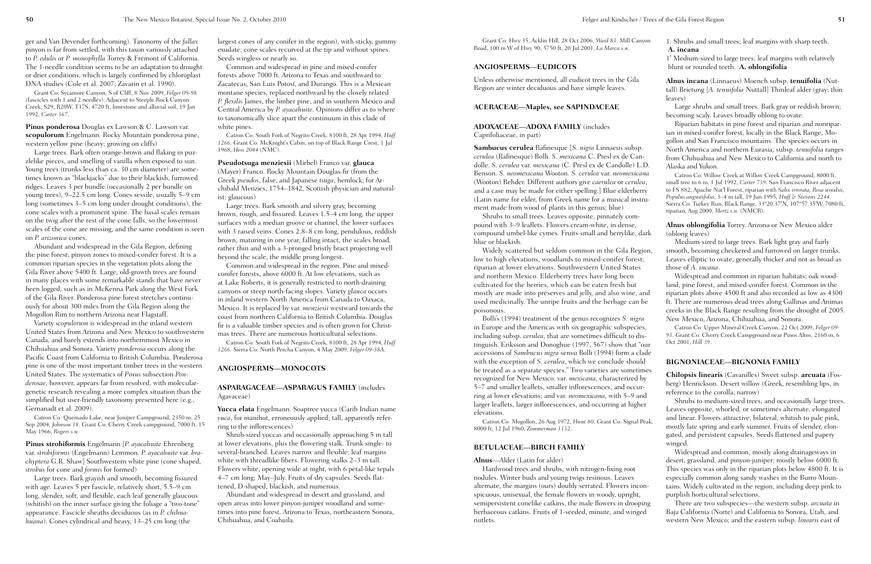Grant Co: Hwy 35, Acklin Hill, 28 Oct 2006, *Ward 83*. Mill Canyon Road, 100 m W of Hwy 90, 5750 ft, 20 Jul 2001, *La Marca s.n*.

#### **ANGIOSPERMS—EUDICOTS**

Unless otherwise mentioned, all eudicot trees in the Gila Region are winter deciduous and have simple leaves.

#### **ACERACEAE—Maples, see SAPINDACEAE**

**ADOXACEAE—ADOXA FAMILY** (includes Caprifoliaceae, in part)

**Sambucus cerulea** Rafinesque [*S. nigra* Linnaeus subsp. *cerulea* (Rafinesque) Bolli. *S. mexicana* C. Presl ex de Candolle. *S. cerulea* var. *mexicana* (C. Presl ex de Candolle) L.D. Benson. *S. neomexicana* Wooton. *S. cerulea* var. *neomexicana* (Wooton) Rehder. Different authors give *caerulea* or *cerulea*, and a case may be made for either spelling.] Blue elderberry (Latin name for elder, from Greek name for a musical instrument made from wood of plants in this genus; blue)

Shrubs to small trees. Leaves opposite, pinnately compound with 3–9 leaflets. Flowers cream-white, in dense, compound umbel-like cymes. Fruits small and berrylike, dark blue or blackish.

Widely scattered but seldom common in the Gila Region, low to high elevations, woodlands to mixed-conifer forest; riparian at lower elevations. Southwestern United States and northern Mexico. Elderberry trees have long been cultivated for the berries, which can be eaten fresh but mostly are made into preserves and jelly, and also wine, and used medicinally. The unripe fruits and the herbage can be poisonous.

Bolli's (1994) treatment of the genus recognizes *S. nigra* in Europe and the Americas with six geographic subspecies, including subsp. *cerulea*, that are sometimes difficult to distinguish. Eriksson and Donoghue (1997, 567) show that "our accessions of *Sambucus nigra* sensu Bolli (1994) form a clade with the exception of *S. cerulea*, which we conclude should be treated as a separate species." Two varieties are sometimes recognized for New Mexico: var. *mexicana*, characterized by 5–7 and smaller leaflets, smaller inflorescences, and occurring at lower elevations; and var. *neomexicana*, with 5–9 and larger leaflets, larger inflorescences, and occurring at higher elevations.

Catron Co: Mogollon, 26 Aug 1972, *Hunt 80*. Grant Co: Signal Peak, 8000 ft, 12 Jul 1960, *Zimmerman 1132*.

#### **BETULACEAE—BIRCH FAMILY**

#### **Alnus**—Alder (Latin for alder)

Hardwood trees and shrubs, with nitrogen-fixing root nodules. Winter buds and young twigs resinous. Leaves alternate, the margins (ours) doubly serrated. Flowers inconspicuous, unisexual, the female flowers in woody, upright, semipersistent conelike catkins, the male flowers in drooping herbaceous catkins. Fruits of 1-seeded, minute, and winged nutlets.

#### 1. Shrubs and small trees; leaf margins with sharp teeth. **A. incana**

1' Medium-sized to large trees; leaf margins with relatively blunt or rounded teeth. **A. oblongifolia**

**Alnus incana** (Linnaeus) Moench subsp. **tenuifolia** (Nuttall) Brietung [*A. tenuifolia* Nuttall] Thinleaf alder (gray; thin leaves)

Large shrubs and small trees. Bark gray or reddish brown; becoming scaly. Leaves broadly oblong to ovate.

Riparian habitats in pine forest and riparian and nonriparian in mixed-conifer forest, locally in the Black Range, Mogollon and San Francisco mountains. The species occurs in North America and northern Eurasia; subsp. *tenuifolia* ranges from Chihuahua and New Mexico to California and north to Alaska and Yukon.

Catron Co: Willow Creek at Willow Creek Campground, 8000 ft, small tree to 6 m, 1 Jul 1992, *Carter 739*. San Francisco River adjacent to FS 882, Apache Nat'l Forest, riparian with *Salix irrorata, Rosa woodsii, Populus angustifolia*, 3–4 m tall, 19 Jun 1995, *Huff & Stevens 2244*. Sierra Co: Turkey Run, Black Range, 33º20.37'N, 107º57.35'W, 7080 ft, riparian, Aug 2000, *Mertz s.n.* (NMCR).

**Alnus oblongifolia** Torrey. Arizona or New Mexico alder (oblong leaves)

Medium-sized to large trees. Bark light gray and fairly smooth, becoming checkered and furrowed on larger trunks. Leaves elliptic to ovate, generally thicker and not as broad as those of *A. incana*.

Widespread and common in riparian habitats; oak woodland, pine forest, and mixed-conifer forest. Common in the riparian plots above 4500 ft and also recorded as low as 4300 ft. There are numerous dead trees along Gallinas and Animas creeks in the Black Range resulting from the drought of 2005. New Mexico, Arizona, Chihuahua, and Sonora.

Catron Co: Upper Mineral Creek Canyon, 22 Oct 2009, *Felger 09- 93*. Grant Co: Cherry Creek Campground near Pinos Altos, 2160 m, 6 Oct 2001, *Hill 39*.

#### **BIGNONIACEAE—BIGNONIA FAMILY**

**Chilopsis linearis** (Cavanilles) Sweet subsp. **arcuata** (Fosberg) Henrickson. Desert willow (Greek, resembling lips, in reference to the corolla; narrow)

Shrubs to medium-sized trees, and occasionally large trees. Leaves opposite, whorled, or sometimes alternate, elongated and linear. Flowers attractive, bilateral, whitish to pale pink, mostly late spring and early summer. Fruits of slender, elongated, and persistent capsules. Seeds flattened and papery winged.

Widespread and common, mostly along drainageways in desert, grassland, and pinyon-juniper; mostly below 6000 ft. This species was only in the riparian plots below 4800 ft. It is especially common along sandy washes in the Burro Mountains. Widely cultivated in the region, including deep pink to purplish horticultural selections.

There are two subspecies—the western subsp. *arcuata* in Baja California (Norte) and California to Sonora, Utah, and western New Mexico; and the eastern subsp. *linearis* east of

ger and Van Devender forthcoming). Taxonomy of the *fallax* pinyon is far from settled, with this taxon variously attached to *P. edulis* or *P. monophylla* Torrey & Frémont of California. The 1-needle condition seems to be an adaptation to drought or drier conditions, which is largely confirmed by chloroplast DNA studies (Cole et al. 2007; Zavarin et al. 1990).

Grant Co: Sycamore Canyon, S of Cliff, 8 Nov 2009, *Felger 09-98*  (fascicles with 1 and 2 needles). Adjacent to Steeple Rock Canyon Creek, S29, R20W, T17S, 4720 ft, limestone and alluvial soil, 19 Jan 1992, *Carter 367*.

**Pinus ponderosa** Douglas ex Lawson & C. Lawson var*.*  **scopulorum** Engelmann*.* Rocky Mountain ponderosa pine, western yellow pine (heavy; growing on cliffs)

Large trees. Bark often orange-brown and flaking in puzzlelike pieces, and smelling of vanilla when exposed to sun. Young trees (trunks less than ca. 30 cm diameter) are sometimes known as "blackjacks" due to their blackish, furrowed ridges. Leaves 3 per bundle (occasionally 2 per bundle on young trees), 9–22.5 cm long. Cones sessile, usually 5–9 cm long (sometimes 3–5 cm long under drought conditions), the cone scales with a prominent spine. The basal scales remain on the twig after the rest of the cone falls, so the lowermost scales of the cone are missing, and the same condition is seen on *P. arizonica* cones.

Abundant and widespread in the Gila Region, defining the pine forest; pinyon zones to mixed-conifer forest. It is a common riparian species in the vegetation plots along the Gila River above 5400 ft. Large, old-growth trees are found in many places with some remarkable stands that have never been logged, such as in McKenna Park along the West Fork of the Gila River. Ponderosa pine forest stretches continuously for about 300 miles from the Gila Region along the Mogollon Rim to northern Arizona near Flagstaff.

Variety *scopulorum* is widespread in the inland western United States from Arizona and New Mexico to southwestern Canada, and barely extends into northernmost Mexico in Chihuahua and Sonora. Variety *ponderosa* occurs along the Pacific Coast from California to British Columbia. Ponderosa pine is one of the most important timber trees in the western United States. The systematics of *Pinus* subsection *Ponderosae*, however, appears far from resolved, with moleculargenetic research revealing a more complex situation than the simplified but user-friendly taxonomy presented here (e.g., Gernanadt et al. 2009).

Catron Co: Quemado Lake, near Juniper Campground, 2350 m, 25 Sep 2004, *Johnson 18*. Grant Co: Cherry Creek campground, 7000 ft, 15 May 1966, *Rogers s.n*.

**Pinus strobiformis** Engelmann [*P. ayacahuite* Ehrenberg var. *strobiformis* (Engelmann) Lemmon. *P. ayacahuite* var. *brachyptera* G.R. Shaw] Southwestern white pine (cone shaped, *strobus* for cone and *formis* for formed)

Large trees. Bark grayish and smooth, becoming fissured with age. Leaves 5 per fascicle, relatively short, 5.5–9 cm long, slender, soft, and flexible, each leaf generally glaucous (whitish) on the inner surface giving the foliage a "two-tone" appearance. Fascicle sheaths deciduous (as in *P. chihuahuana*). Cones cylindrical and heavy, 13–25 cm long (the

largest cones of any conifer in the region), with sticky, gummy exudate; cone scales recurved at the tip and without spines. Seeds wingless or nearly so.

Common and widespread in pine and mixed-conifer forests above 7000 ft. Arizona to Texas and southward to Zacatecas, San Luis Potosí, and Durango. This is a Mexican montane species, replaced northward by the closely related *P. flexilis* James, the limber pine, and in southern Mexico and Central America by *P. ayacahuite*. Opinions differ as to where to taxonomically slice apart the continuum in this clade of white pines.

Catron Co: South Fork of Negrito Creek, 8100 ft, 28 Apr 1994, *Huff 1266*. Grant Co: McKnight's Cabin, on top of Black Range Crest, 1 Jul 1968, *Hess 2044* (NMC).

**Pseudotsuga menziesii** (Mirbel) Franco var. **glauca** (Mayer) Franco. Rocky Mountain Douglas-fir (from the Greek *pseudos*, false, and Japanese *tsuga*, hemlock; for Archibald Menzies, 1754–1842, Scottish physician and naturalist; glaucous)

Large trees. Bark smooth and silvery gray, becoming brown, rough, and fissured. Leaves 1.5–4 cm long, the upper surfaces with a median groove or channel, the lower surfaces with 3 raised veins. Cones 2.8–8 cm long, pendulous, reddish brown, maturing in one year, falling intact, the scales broad, rather thin and with a 3-pronged bristly bract projecting well beyond the scale, the middle prong longest.

Common and widespread in the region. Pine and mixedconifer forests, above 6000 ft. At low elevations, such as at Lake Roberts, it is generally restricted to north-draining canyons or steep north-facing slopes. Variety *glauca* occurs in inland western North America from Canada to Oaxaca, Mexico. It is replaced by var. *menziesii* westward towards the coast from northern California to British Columbia. Douglas fir is a valuable timber species and is often grown for Christmas trees. There are numerous horticultural selections.

Catron Co: South Fork of Negrito Creek, 8100 ft, 28 Apr 1994, *Huff 1266*. Sierra Co: North Percha Canyon, 4 May 2009, *Felger 09-38A*.

#### **ANGIOSPERMS—MONOCOTS**

#### **ASPARAGACEAE—ASPARAGUS FAMILY** (includes Agavaceae)

**Yucca elata** Engelmann. Soaptree yucca (Carib Indian name *yuca*, for manihot, erroneously applied; tall, apparently referring to the inflorescences)

Shrub-sized yuccas and occasionally approaching 5 m tall at lower elevations, plus the flowering stalk. Trunk single- to several-branched. Leaves narrow and flexible; leaf margins white with threadlike fibers. Flowering stalks 2–3 m tall. Flowers white, opening wide at night, with 6 petal-like tepals 4–7 cm long; May–July. Fruits of dry capsules. Seeds flattened, D-shaped, blackish, and numerous.

Abundant and widespread in desert and grassland, and open areas into lower pinyon-juniper woodland and sometimes into pine forest. Arizona to Texas, northeastern Sonora, Chihuahua, and Coahuila.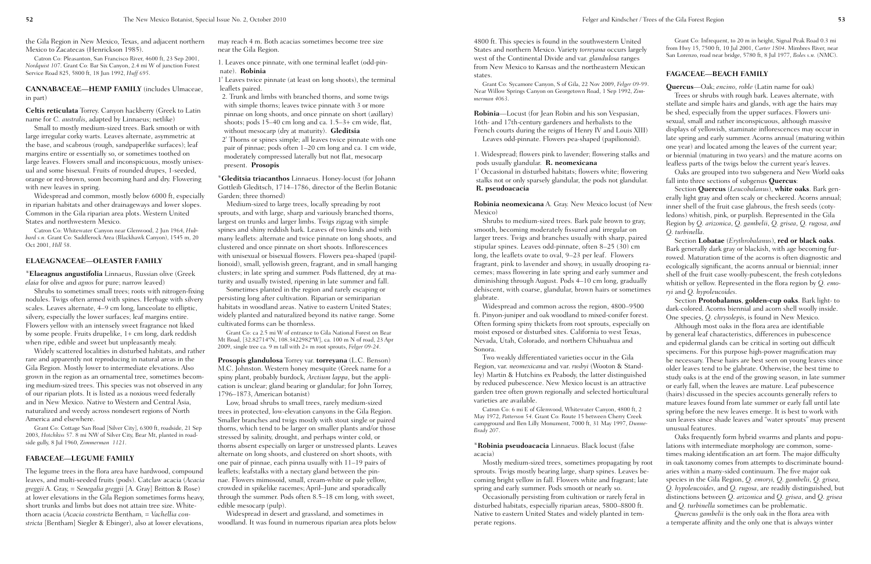Near Willow Springs Canyon on Georgetown Road, 1 Sep 1992, *Zimmerman 4063*. **Robinia**—Locust (for Jean Robin and his son Vespasian, 16th- and 17th-century gardeners and herbalists to the French courts during the reigns of Henry IV and Louis XIII) 1. Widespread; flowers pink to lavender; flowering stalks and

pods usually glandular. **R. neomexicana** 1' Occasional in disturbed habitats; flowers white; flowering

stalks not or only sparsely glandular, the pods not glandular. **R. pseudoacacia**

**Robinia neomexicana** A. Gray. New Mexico locust (of New Mexico)

Shrubs to medium-sized trees. Bark pale brown to gray, smooth, becoming moderately fissured and irregular on larger trees. Twigs and branches usually with sharp, paired stipular spines. Leaves odd-pinnate, often 8–25 (30) cm long, the leaflets ovate to oval, 9–23 per leaf. Flowers fragrant, pink to lavender and showy, in usually drooping racemes; mass flowering in late spring and early summer and diminishing through August. Pods 4–10 cm long, gradually dehiscent, with coarse, glandular, brown hairs or sometimes glabrate.

4800 ft. This species is found in the southwestern United States and northern Mexico. Variety *torreyana* occurs largely west of the Continental Divide and var. *glandulosa* ranges from New Mexico to Kansas and the northeastern Mexican states. Grant Co: Infrequent, to 20 m in height, Signal Peak Road 0.3 mi from Hwy 15, 7500 ft, 10 Jul 2001, *Carter 1S04*. Mimbres River, near San Lorenzo, road near bridge, 5780 ft, 8 Jul 1977, *Boles s.n.* (NMC). **FAGACEAE—BEACH FAMILY**

Widespread and common across the region, 4800–9500 ft. Pinyon-juniper and oak woodland to mixed-conifer forest. Often forming spiny thickets from root sprouts, especially on moist exposed or disturbed sites. California to west Texas, Nevada, Utah, Colorado, and northern Chihuahua and Sonora.

Grant Co: Sycamore Canyon, S of Gila, 22 Nov 2009, *Felger 09-99*. Leaves odd-pinnate. Flowers pea-shaped (papilionoid). **Quercus**—Oak; *encino*, *roble* (Latin name for oak) Trees or shrubs with rough bark. Leaves alternate, with stellate and simple hairs and glands, with age the hairs may be shed, especially from the upper surfaces. Flowers unisexual, small and rather inconspicuous, although massive displays of yellowish, staminate inflorescences may occur in late spring and early summer. Acorns annual (maturing within one year) and located among the leaves of the current year; or biennial (maturing in two years) and the mature acorns on leafless parts of the twigs below the current year's leaves.

Two weakly differentiated varieties occur in the Gila Region, var. *neomexicana* and var. *rusbyi* (Wooton & Standley) Martin & Hutchins ex Peabody, the latter distinguished by reduced pubescence. New Mexico locust is an attractive garden tree often grown regionally and selected horticultural varieties are available.

Catron Co: 6 mi E of Glenwood, Whitewater Canyon, 4800 ft, 2 May 1972, *Patterson 54*. Grant Co: Route 15 between Cherry Creek campground and Ben Lilly Monument, 7000 ft, 31 May 1997, *Dunne-Brady 207*.

#### \***Robinia pseudoacacia** Linnaeus. Black locust (false acacia)

Mostly medium-sized trees, sometimes propagating by root sprouts. Twigs mostly bearing large, sharp spines. Leaves becoming bright yellow in fall. Flowers white and fragrant; late spring and early summer. Pods smooth or nearly so.

Occasionally persisting from cultivation or rarely feral in disturbed habitats, especially riparian areas, 5800–8800 ft. Native to eastern United States and widely planted in temperate regions.

#### Oaks are grouped into two subgenera and New World oaks fall into three sections of subgenus **Quercus**:

Section **Quercus** (*Leucobalanus*), **white oaks**. Bark generally light gray and often scaly or checkered. Acorns annual; inner shell of the fruit case glabrous, the fresh seeds (cotyledons) whitish, pink, or purplish. Represented in the Gila Region by *Q. arizonica*, *Q. gambelii*, *Q. grisea*, *Q. rugosa, and Q. turbinella*.

Section **Lobatae** (*Erythrobalanus*), **red or black oaks**. Bark generally dark gray or blackish, with age becoming furrowed. Maturation time of the acorns is often diagnostic and ecologically significant, the acorns annual or biennial; inner shell of the fruit case woolly-pubescent, the fresh cotyledons whitish or yellow. Represented in the flora region by *Q. emoryi* and *Q. hypoleucoides*.

Section **Protobalanus**, **golden-cup oaks**. Bark light- to dark-colored. Acorns biennial and acorn shell woolly inside. One species, *Q. chrysolepis*, is found in New Mexico.

Although most oaks in the flora area are identifiable by general leaf characteristics, differences in pubescence and epidermal glands can be critical in sorting out difficult specimens. For this purpose high-power magnification may be necessary. These hairs are best seen on young leaves since older leaves tend to be glabrate. Otherwise, the best time to study oaks is at the end of the growing season, in late summer or early fall, when the leaves are mature. Leaf pubescence (hairs) discussed in the species accounts generally refers to mature leaves found from late summer or early fall until late spring before the new leaves emerge. It is best to work with sun leaves since shade leaves and "water sprouts" may present unusual features.

Oaks frequently form hybrid swarms and plants and populations with intermediate morphology are common, sometimes making identification an art form. The major difficulty in oak taxonomy comes from attempts to discriminate boundaries within a many-sided continuum. The five major oak species in the Gila Region, *Q. emoryi, Q. gambelii, Q. grisea, Q. hypoleucoides*, and *Q. rugosa*, are readily distinguished, but distinctions between *Q. arizonica* and *Q. grisea*, and *Q. grisea* and *Q. turbinella* sometimes can be problematic.

*Quercus gambelii* is the only oak in the flora area with a temperate affinity and the only one that is always winter

the Gila Region in New Mexico, Texas, and adjacent northern Mexico to Zacatecas (Henrickson 1985).

Catron Co: Pleasanton, San Francisco River, 4600 ft, 23 Sep 2001, *Nordquist 107*. Grant Co: Bar Six Canyon, 2.4 mi W of junction Forest Service Road 825, 5800 ft, 18 Jun 1992, *Huff 695*.

**CANNABACEAE—HEMP FAMILY** (includes Ulmaceae, in part)

**Celtis reticulata** Torrey. Canyon hackberry (Greek to Latin name for *C. australis*, adapted by Linnaeus; netlike)

Small to mostly medium-sized trees. Bark smooth or with large irregular corky warts. Leaves alternate, asymmetric at the base, and scabrous (rough, sandpaperlike surfaces); leaf margins entire or essentially so, or sometimes toothed on large leaves. Flowers small and inconspicuous, mostly unisexual and some bisexual. Fruits of rounded drupes, 1-seeded, orange or red-brown, soon becoming hard and dry. Flowering with new leaves in spring.

Widespread and common, mostly below 6000 ft, especially in riparian habitats and other drainageways and lower slopes. Common in the Gila riparian area plots. Western United States and northwestern Mexico.

Catron Co: Whitewater Canyon near Glenwood, 2 Jun 1964, *Hubbard s.n.* Grant Co: Saddlerock Area (Blackhawk Canyon), 1545 m, 20 Oct 2001, *Hill 58*.

#### **ELAEAGNACEAE—OLEASTER FAMILY**

\***Elaeagnus angustifolia** Linnaeus, Russian olive (Greek *elaia* for olive and *agnos* for pure; narrow leaved)

Shrubs to sometimes small trees; roots with nitrogen-fixing nodules. Twigs often armed with spines. Herbage with silvery scales. Leaves alternate, 4–9 cm long, lanceolate to elliptic, silvery, especially the lower surfaces; leaf margins entire. Flowers yellow with an intensely sweet fragrance not liked by some people. Fruits drupelike, 1+ cm long, dark reddish when ripe, edible and sweet but unpleasantly mealy.

Widely scattered localities in disturbed habitats, and rather rare and apparently not reproducing in natural areas in the Gila Region. Mostly lower to intermediate elevations. Also grown in the region as an ornamental tree, sometimes becoming medium-sized trees. This species was not observed in any of our riparian plots. It is listed as a noxious weed federally and in New Mexico. Native to Western and Central Asia, naturalized and weedy across nondesert regions of North America and elsewhere.

Grant Co: Cottage San Road [Silver City], 6300 ft, roadside, 21 Sep 2003, *Hotchkiss 57*. 8 mi NW of Silver City, Bear Mt, planted in roadside gully, 8 Jul 1960, *Zimmerman 1121*.

#### **FABACEAE—LEGUME FAMILY**

The legume trees in the flora area have hardwood, compound leaves, and multi-seeded fruits (pods). Catclaw acacia (*Acacia greggii* A. Gray, = *Senegalia greggii* [A. Gray] Britton & Rose) at lower elevations in the Gila Region sometimes forms heavy, short trunks and limbs but does not attain tree size. Whitethorn acacia (*Acacia constricta* Bentham*, = Vachellia constricta* [Bentham] Siegler & Ebinger), also at lower elevations,

may reach 4 m. Both acacias sometimes become tree size near the Gila Region.

1. Leaves once pinnate, with one terminal leaflet (odd-pinnate). **Robinia**

1' Leaves twice pinnate (at least on long shoots), the terminal leaflets paired.

2. Trunk and limbs with branched thorns, and some twigs with simple thorns; leaves twice pinnate with 3 or more pinnae on long shoots, and once pinnate on short (axillary) shoots; pods 15–40 cm long and ca. 1.5–3+ cm wide, flat, without mesocarp (dry at maturity). **Gleditsia** 2' Thorns or spines simple; all leaves twice pinnate with one pair of pinnae; pods often 1–20 cm long and ca. 1 cm wide, moderately compressed laterally but not flat, mesocarp present. **Prosopis**

\***Gleditsia triacanthos** Linnaeus. Honey-locust (for Johann Gottleib Gleditsch, 1714–1786, director of the Berlin Botanic Garden; three thorned)

Medium-sized to large trees, locally spreading by root sprouts, and with large, sharp and variously branched thorns, largest on trunks and larger limbs. Twigs zigzag with simple spines and shiny reddish bark. Leaves of two kinds and with many leaflets: alternate and twice pinnate on long shoots, and clustered and once pinnate on short shoots. Inflorescences with unisexual or bisexual flowers. Flowers pea-shaped (papillionoid), small, yellowish green, fragrant, and in small hanging clusters; in late spring and summer. Pods flattened, dry at maturity and usually twisted, ripening in late summer and fall.

Sometimes planted in the region and rarely escaping or persisting long after cultivation. Riparian or semiriparian habitats in woodland areas. Native to eastern United States; widely planted and naturalized beyond its native range. Some cultivated forms can be thornless.

Grant Co: ca 2.5 mi W of entrance to Gila National Forest on Bear Mt Road, [32.82714ºN, 108.3422982ºW], ca. 100 m N of road, 23 Apr 2009, single tree ca. 9 m tall with 2+ m root sprouts, *Felger 09-24*.

**Prosopis glandulosa** Torrey var. **torreyana** (L.C. Benson) M.C. Johnston. Western honey mesquite (Greek name for a spiny plant, probably burdock, *Arctium lappa*, but the application is unclear; gland bearing or glandular; for John Torrey, 1796–1873, American botanist)

Low, broad shrubs to small trees, rarely medium-sized trees in protected, low-elevation canyons in the Gila Region. Smaller branches and twigs mostly with stout single or paired thorns, which tend to be larger on smaller plants and/or those stressed by salinity, drought, and perhaps winter cold, or thorns absent especially on larger or unstressed plants. Leaves alternate on long shoots, and clustered on short shoots, with one pair of pinnae, each pinna usually with 11–19 pairs of leaflets; leafstalks with a nectary gland between the pinnae. Flowers mimosoid, small, cream-white or pale yellow, crowded in spikelike racemes; April–June and sporadically through the summer. Pods often 8.5–18 cm long, with sweet, edible mesocarp (pulp).

Widespread in desert and grassland, and sometimes in woodland. It was found in numerous riparian area plots below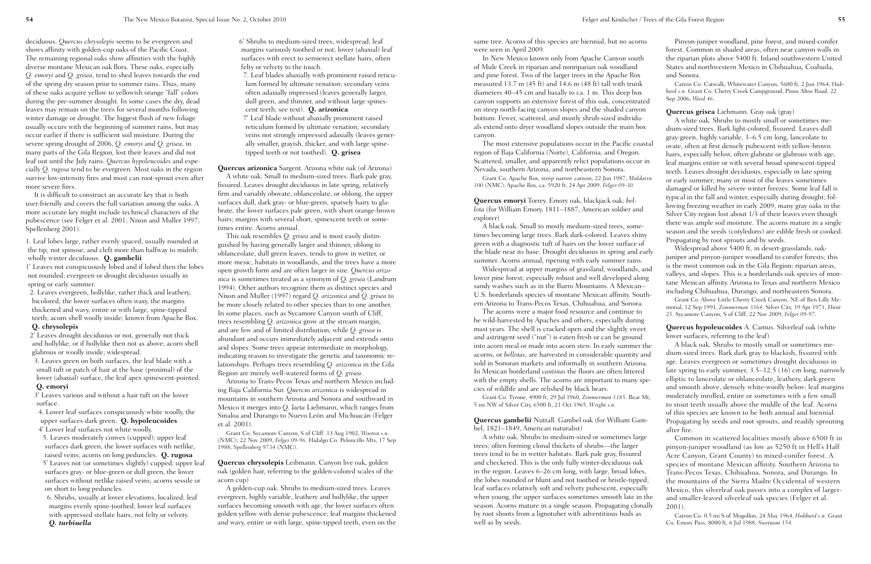same tree. Acorns of this species are biennial, but no acorns were seen in April 2009.

In New Mexico known only from Apache Canyon south of Mule Creek in riparian and nonriparian oak woodland and pine forest. Two of the larger trees in the Apache Box measured 13.7 m (45 ft) and 14.6 m (48 ft) tall with trunk diameters 40–45 cm and basally to ca. 1 m. This deep box canyon supports an extensive forest of this oak, concentrated on steep north-facing canyon slopes and the shaded canyon bottom. Fewer, scattered, and mostly shrub-sized individuals extend onto dryer woodland slopes outside the main box canyon.

The most extensive populations occur in the Pacific coastal region of Baja California (Norte), California, and Oregon. Scattered, smaller, and apparently relict populations occur in Nevada, southern Arizona, and northeastern Sonora.

Grant Co: Apache Box, steep narrow canyon, 22 Jun 1987, *Muldavin 100* (NMC). Apache Box, ca. 5920 ft, 24 Apr 2009, *Felger 09-30.*

**Quercus emoryi** Torrey. Emory oak, blackjack oak; *bellota* (for William Emory, 1811–1887, American soldier and explorer)

A black oak. Small to mostly medium-sized trees, sometimes becoming large trees. Bark dark-colored. Leaves shiny green with a diagnostic tuft of hairs on the lower surface of the blade near its base. Drought deciduous in spring and early summer. Acorns annual, ripening with early summer rains.

Widespread at upper margins of grassland, woodlands, and lower pine forest; especially robust and well developed along sandy washes such as in the Burro Mountains. A Mexican– U.S. borderlands species of montane Mexican affinity. Southern Arizona to Trans-Pecos Texas, Chihuahua, and Sonora.

The acorns were a major food resource and continue to be wild-harvested by Apaches and others, especially during mast years. The shell is cracked open and the slightly sweet and astringent seed ("nut") is eaten fresh or can be ground into acorn meal or made into acorn stew. In early summer the acorns, or *bellotas*, are harvested in considerable quantity and sold in Sonoran markets and informally in southern Arizona. In Mexican borderland *cantinas* the floors are often littered with the empty shells. The acorns are important to many species of wildlife and are relished by black bears.

Grant Co: Tyrone, 4900 ft, 29 Jul 1960, *Zimmerman 1185*. Bear Mt, 5 mi NW of Silver City, 6500 ft, 21 Oct 1965, *Wright s.n.*

**Quercus gambelii** Nuttall. Gambel oak (for William Gambel, 1821–1849, American naturalist)

A white oak. Shrubs to medium-sized or sometimes large trees; often forming clonal thickets of shrubs—the larger trees tend to be in wetter habitats. Bark pale gray, fissured and checkered. This is the only fully winter-deciduous oak in the region. Leaves 6–26 cm long, with large, broad lobes, the lobes rounded or blunt and not toothed or bristle-tipped; leaf surfaces relatively soft and velvety pubescent, especially when young, the upper surfaces sometimes smooth late in the season. Acorns mature in a single season. Propagating clonally by root shoots from a lignotuber with adventitious buds as well as by seeds.

Pinyon-juniper woodland, pine forest, and mixed-conifer forest. Common in shaded areas, often near canyon walls in the riparian plots above 5400 ft. Inland southwestern United States and northwestern Mexico in Chihuahua, Coahuila, and Sonora.

Catron Co: Catwalk, Whitewater Canyon, 5600 ft, 2 Jun 1964, *Hubbard s.n.* Grant Co: Cherry Creek Campground, Pinos Altos Road, 22 Sep 2006, *Ward 46*.

**Quercus grisea** Liebmann. Gray oak (gray)

A white oak. Shrubs to mostly small or sometimes medium-sized trees. Bark light-colored, fissured. Leaves dull gray-green, highly variable, 3–6.5 cm long, lanceolate to ovate, often at first densely pubescent with yellow-brown hairs, especially below, often glabrate or glabrous with age; leaf margins entire or with several broad spinescent-tipped teeth. Leaves drought deciduous, especially in late spring or early summer; many or most of the leaves sometimes damaged or killed by severe winter freezes. Some leaf fall is typical in the fall and winter, especially during drought; following freezing weather in early 2009, many gray oaks in the Silver City region lost about 1/3 of their leaves even though there was ample soil moisture. The acorns mature in a single season and the seeds (cotyledons) are edible fresh or cooked. Propagating by root sprouts and by seeds.

Widespread above 5400 ft, in desert-grasslands, oakjuniper and pinyon-juniper woodland to conifer forests; this is the most common oak in the Gila Region; riparian areas, valleys, and slopes. This is a borderlands oak species of montane Mexican affinity. Arizona to Texas and northern Mexico including Chihuahua, Durango, and northeastern Sonora.

Grant Co: Above Little Cherry Creek Canyon, NE of Ben Lilly Memorial, 12 Sep 1991, *Zimmerman 3364*. Silver City, 19 Apr 1971, *Hunt 25*. Sycamore Canyon, S of Cliff, 22 Nov 2009, *Felger 09-97*.

**Quercus hypoleucoides** A. Camus. Silverleaf oak (white lower surfaces, referring to the leaf)

A black oak. Shrubs to mostly small or sometimes medium-sized trees. Bark dark gray to blackish, fissured with age. Leaves evergreen or sometimes drought deciduous in late spring to early summer, 3.5–12.5 (16) cm long, narrowly elliptic to lanceolate or oblanceolate, leathery, dark green and smooth above, densely white-woolly below; leaf margins moderately inrolled, entire or sometimes with a few small to stout teeth usually above the middle of the leaf. Acorns of this species are known to be both annual and biennial. Propagating by seeds and root sprouts, and readily sprouting after fire.

Common in scattered localities mostly above 6500 ft in pinyon-juniper woodland (as low as 5250 ft in Hell's Half Acre Canyon, Grant County) to mixed-conifer forest. A species of montane Mexican affinity. Southern Arizona to Trans-Pecos Texas, Chihuahua, Sonora, and Durango. In the mountains of the Sierra Madre Occidental of western Mexico, this silverleaf oak passes into a complex of largerand smaller-leaved silverleaf oak species (Felger et al. 2001).

Catron Co: 0.5 mi S of Mogollon, 24 May 1964, *Hubbard s.n.* Grant Co: Emory Pass, 8000 ft, 6 Jul 1988, *Swetnam 154*.

deciduous. *Quercus chrysolepis* seems to be evergreen and shows affinity with golden-cup oaks of the Pacific Coast. The remaining regional oaks show affinities with the highly diverse montane Mexican oak flora. These oaks, especially *Q. emoryi* and *Q. grisea*, tend to shed leaves towards the end of the spring dry season prior to summer rains. Thus, many of these oaks acquire yellow to yellowish orange "fall" colors during the pre-summer drought. In some cases the dry, dead leaves may remain on the trees for several months following winter damage or drought. The biggest flush of new foliage usually occurs with the beginning of summer rains, but may occur earlier if there is sufficient soil moisture. During the severe spring drought of 2006, *Q. emoryi* and *Q. grisea,* in many parts of the Gila Region, lost their leaves and did not leaf out until the July rains. *Quercus hypoleucoides* and especially *Q. rugosa* tend to be evergreen. Most oaks in the region survive low-intensity fires and most can root-sprout even after more severe fires.

It is difficult to construct an accurate key that is both user-friendly and covers the full variation among the oaks. A more accurate key might include technical characters of the pubescence (see Felger et al. 2001; Nixon and Muller 1997; Spellenberg 2001).

1. Leaf lobes large, rather evenly spaced, usually rounded at the tip, not spinose, and cleft more than halfway to midrib; wholly winter deciduous. **Q. gambelii**

1' Leaves not conspicuously lobed and if lobed then the lobes not rounded; evergreen or drought deciduous usually in spring or early summer.

2. Leaves evergreen, hollylike, rather thick and leathery, bicolored, the lower surfaces often waxy, the margins thickened and wavy, entire or with large, spine-tipped teeth; acorn shell woolly inside; known from Apache Box.

#### **Q. chrysolepis**

2' Leaves drought deciduous or not, generally not thick and hollylike, or if hollylike then not as above; acorn shell glabrous or woolly inside; widespread.

3. Leaves green on both surfaces, the leaf blade with a small tuft or patch of hair at the base (proximal) of the lower (abaxial) surface, the leaf apex spinescent-pointed. **Q. emoryi**

3' Leaves various and without a hair tuft on the lower surface.

4. Lower leaf surfaces conspicuously white woolly, the upper surfaces dark green. **Q. hypoleucoides**

4' Lower leaf surfaces not white woolly.

5. Leaves moderately convex (cupped); upper leaf surfaces dark green, the lower surfaces with netlike, raised veins; acorns on long peduncles. **Q. rugosa** 5' Leaves not (or sometimes slightly) cupped; upper leaf surfaces gray- or blue-green or dull green, the lower surfaces without netlike raised veins; acorns sessile or on short to long peduncles.

6. Shrubs, usually at lower elevations, localized; leaf margins evenly spine-toothed; lower leaf surfaces with appressed stellate hairs, not felty or velvety. *Q. turbinella*

6' Shrubs to medium-sized trees, widespread; leaf margins variously toothed or not; lower (abaxial) leaf surfaces with erect to semierect stellate hairs, often felty or velvety to the touch.

7. Leaf blades abaxially with prominent raised reticulum formed by ultimate venation; secondary veins often adaxially impressed (leaves generally larger, dull green, and thinner, and without large spinescent teeth; see text). **Q. arizonica** 7' Leaf blade without abaxially prominent raised reticulum formed by ultimate venation; secondary veins not strongly impressed adaxially (leaves gener-

ally smaller, grayish, thicker, and with large spinetipped teeth or not toothed). **Q. grisea**

**Quercus arizonica** Sargent. Arizona white oak (of Arizona)

A white oak. Small to medium-sized trees. Bark pale gray, fissured. Leaves drought deciduous in late spring, relatively firm and variably obovate, oblanceolate, or oblong, the upper surfaces dull, dark gray- or blue-green, sparsely hairy to glabrate, the lower surfaces pale green, with short orange-brown hairs; margins with several short, spinescent teeth or sometimes entire. Acorns annual.

This oak resembles *Q. grisea* and is most easily distinguished by having generally larger and thinner, oblong to oblanceolate, dull green leaves, tends to grow in wetter, or more mesic, habitats in woodlands, and the trees have a more open growth form and are often larger in size. *Quercus arizonica* is sometimes treated as a synonym of *Q. grisea* (Landrum 1994). Other authors recognize them as distinct species and Nixon and Muller (1997) regard *Q. arizonica* and *Q. grisea* to be more closely related to other species than to one another. In some places, such as Sycamore Canyon south of Cliff, trees resembling *Q. arizonica* grow at the stream margin, and are few and of limited distribution, while *Q. grisea* is abundant and occurs immediately adjacent and extends onto arid slopes. Some trees appear intermediate in morphology, indicating reason to investigate the genetic and taxonomic relationships. Perhaps trees resembling *Q. arizonica* in the Gila Region are merely well-watered forms of *Q. grisea*.

Arizona to Trans-Pecos Texas and northern Mexico including Baja California Sur. *Quercus arizonica* is widespread in mountains in southern Arizona and Sonora and southward in Mexico it merges into *Q. laeta* Liebmann, which ranges from Sinaloa and Durango to Nuevo León and Michoacán (Felger et al. 2001).

Grant Co: Sycamore Canyon, S of Cliff: 13 Aug 1902, *Wooton s.n*. (NMC); 22 Nov 2009, *Felger 09-96*. Hidalgo Co: Peloncillo Mts, 17 Sep 1988, *Spellenberg 9734* (NMC).

**Quercus chrysolepis** Leibmann. Canyon live oak, golden oak (golden hair, referring to the golden-colored scales of the acorn cup)

A golden-cup oak. Shrubs to medium-sized trees. Leaves evergreen, highly variable, leathery and hollylike, the upper surfaces becoming smooth with age, the lower surfaces often golden yellow with dense pubescence; leaf margins thickened and wavy, entire or with large, spine-tipped teeth, even on the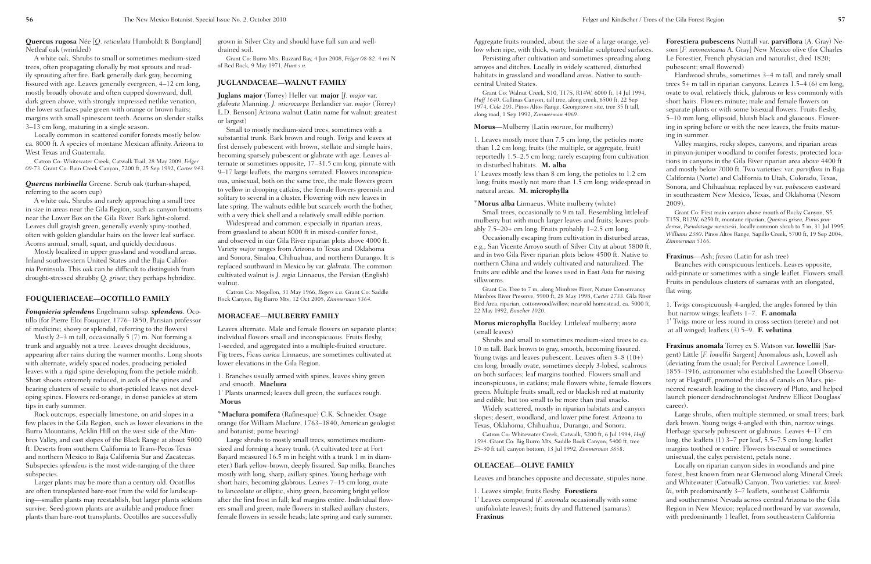Persisting after cultivation and sometimes spreading along arroyos and ditches. Locally in widely scattered, disturbed habitats in grassland and woodland areas. Native to southcentral United States.

 $1'$  Leaves mostly less than 8 cm long, the petioles to 1.2 cm long; fruits mostly not more than 1.5 cm long; widespread natural areas. **M. microphylla**

Grant Co: Walnut Creek, S10, T17S, R14W, 6000 ft, 14 Jul 1994, *Huff 1640*. Gallinas Canyon, tall tree, along creek, 6500 ft, 22 Sep 1974, *Cole 203*. Pinos Altos Range, Georgetown site, tree 35 ft tall, along road, 1 Sep 1992, *Zimmerman 4069*.

Small trees, occasionally to 9 m tall. Resembling littlel mulberry but with much larger leaves and fruits; leaves pro ably 7.5–20+ cm long. Fruits probably 1–2.5 cm long.

#### **Morus**—Mulberry (Latin *morum*, for mulberry)

Occasionally escaping from cultivation in disturbed are e.g., San Vicente Arroyo south of Silver City at about 580 and in two Gila River riparian plots below 4500 ft. Native northern China and widely cultivated and naturalized. The fruits are edible and the leaves used in East Asia for raising silkworms.

1. Leaves mostly more than 7.5 cm long, the petioles more than 1.2 cm long; fruits (the multiple, or aggregate, fruit) reportedly  $1.5-2.5$  cm long; rarely escaping from cultivation in disturbed habitats. **M. alba**

Grant Co: Tree to 7 m, along Mimbres River, Nature Conservan Mimbres River Preserve, 5900 ft, 28 May 1998, *Carter 2733*. Gila I Bird Area, riparian, cottonwood/willow, near old homestead, ca. 500 22 May 1992, *Boucher 1020*.

#### \***Morus alba** Linnaeus. White mulberry (white)

Shrubs and small to sometimes medium-sized trees to 10 m tall. Bark brown to gray, smooth, becoming fissured. Young twigs and leaves pubescent. Leaves often  $3-8$  (10+) cm long, broadly ovate, sometimes deeply 3-lobed, scabro on both surfaces; leaf margins toothed. Flowers small and inconspicuous, in catkins; male flowers white, female flowers green. Multiple fruits small, red or blackish red at maturit and edible, but too small to be more than trail snacks.

Widely scattered, mostly in riparian habitats and canyon slopes; desert, woodland, and lower pine forest. Arizona to Texas, Oklahoma, Chihuahua, Durango, and Sonora.

Catron Co: Whitewater Creek, Catwalk, 5200 ft, 6 Jul 1994, *Hu 1594*. Grant Co: Big Burro Mts, Saddle Rock Canyon, 5400 ft, tree 25–30 ft tall, canyon bottom, 13 Jul 1992, *Zimmerman 3858*.

**Morus microphylla** Buckley. Littleleaf mulberry; *mora* (small leaves)

#### **OLEACEAE—OLIVE FAMILY**

Leaves and branches opposite and decussate, stipules nor

1. Leaves simple; fruits fleshy. **Forestiera** 1' Leaves compound (*F. anomala* occasionally with some unifoliolate leaves); fruits dry and flattened (samaras). **Fraxinus**

| yel-         | <b>Forestiera pubescens</b> Nuttall var. <b>parviflora</b> (A. Gray) Ne-                                                                      |
|--------------|-----------------------------------------------------------------------------------------------------------------------------------------------|
| aces.        | som [F. neomexicana A. Gray] New Mexico olive (for Charles                                                                                    |
| ong          | Le Forestier, French physician and naturalist, died 1820;                                                                                     |
| $\mathbf{1}$ | pubescent; small flowered)                                                                                                                    |
|              | Hardwood shrubs, sometimes 3-4 m tall, and rarely small                                                                                       |
| $-1$         |                                                                                                                                               |
|              | trees $5+$ m tall in riparian canyons. Leaves 1.5–4 (6) cm long,                                                                              |
| 94,          | ovate to oval, relatively thick, glabrous or less commonly with                                                                               |
|              | short hairs. Flowers minute; male and female flowers on                                                                                       |
|              | separate plants or with some bisexual flowers. Fruits fleshy,                                                                                 |
|              | 5–10 mm long, ellipsoid, bluish black and glaucous. Flower-                                                                                   |
|              | ing in spring before or with the new leaves, the fruits matur-                                                                                |
|              | ing in summer.                                                                                                                                |
| .6           | Valley margins, rocky slopes, canyons, and riparian areas                                                                                     |
|              | in pinyon-juniper woodland to conifer forests; protected loca-                                                                                |
| ion          | tions in canyons in the Gila River riparian area above 4400 ft                                                                                |
|              | and mostly below 7000 ft. Two varieties: var. parviflora in Baja                                                                              |
| m            | California (Norte) and California to Utah, Colorado, Texas,                                                                                   |
| d in         | Sonora, and Chihuahua; replaced by var. pubescens eastward                                                                                    |
|              |                                                                                                                                               |
|              | in southeastern New Mexico, Texas, and Oklahoma (Nesom                                                                                        |
|              | 2009).                                                                                                                                        |
| eaf          | Grant Co: First main canyon above mouth of Rocky Canyon, S5,                                                                                  |
| :ob-         | T15S, R12W, 6250 ft, montane riparian, Quercus grisea, Pinus pon-<br>derosa, Pseudotsuga menziesii, locally common shrub to 5 m, 31 Jul 1995, |
|              | Williams 2380. Pinos Altos Range, Sapillo Creek, 5700 ft, 19 Sep 2004,                                                                        |
| eas,         | Zimmerman 5166.                                                                                                                               |
| 0 ft,        |                                                                                                                                               |
| : to         | <b>Fraxinus</b> —Ash; <i>fresno</i> (Latin for ash tree)                                                                                      |
| ιe           | Branches with conspicuous lenticels. Leaves opposite,                                                                                         |
| ıg           | odd-pinnate or sometimes with a single leaflet. Flowers small.                                                                                |
|              | Fruits in pendulous clusters of samaras with an elongated,                                                                                    |
| cy           | flat wing.                                                                                                                                    |
| River        |                                                                                                                                               |
| )0 ft,       | 1. Twigs conspicuously 4-angled, the angles formed by thin                                                                                    |
|              | but narrow wings; leaflets 1-7. F. anomala                                                                                                    |
|              | 1' Twigs more or less round in cross section (terete) and not                                                                                 |
|              | at all winged; leaflets (3) 5-9. F. velutina                                                                                                  |
| ca.          |                                                                                                                                               |
|              | <b>Fraxinus anomala</b> Torrey ex S. Watson var. <b>lowellii</b> (Sar-                                                                        |
| $\cdot)$     | gent) Little [F. lowellii Sargent] Anomalous ash, Lowell ash                                                                                  |
|              | (deviating from the usual; for Percival Lawrence Lowell,                                                                                      |
| щS           | 1855–1916, astronomer who established the Lowell Observa-                                                                                     |
|              | tory at Flagstaff, promoted the idea of canals on Mars, pio-                                                                                  |
| vers         | neered research leading to the discovery of Pluto, and helped                                                                                 |
| ty           | launch pioneer dendrochronologist Andrew Ellicot Douglass'                                                                                    |
|              | career).                                                                                                                                      |
| m            |                                                                                                                                               |
| O            | Large shrubs, often multiple stemmed, or small trees; bark                                                                                    |
|              | dark brown. Young twigs 4-angled with thin, narrow wings.                                                                                     |
| иff          | Herbage sparsely pubescent or glabrous. Leaves 4–17 cm                                                                                        |
|              | long, the leaflets $(1)$ 3–7 per leaf, 5.5–7.5 cm long; leaflet                                                                               |
|              | margins toothed or entire. Flowers bisexual or sometimes                                                                                      |
|              | unisexual, the calyx persistent, petals none.                                                                                                 |
|              | Locally on riparian canyon sides in woodlands and pine                                                                                        |
|              | forest, best known from near Glenwood along Mineral Creek                                                                                     |
| ne.          | and Whitewater (Catwalk) Canyon. Two varieties: var. lowel-                                                                                   |
|              | lii, with predominantly 3-7 leaflets, southeast California                                                                                    |
|              | and southernmost Nevada across central Arizona to the Gila                                                                                    |
|              | Region in New Mexico; replaced northward by var. <i>anomala</i> ,                                                                             |
|              | with predominantly 1 leaflet, from southeastern California                                                                                    |
|              |                                                                                                                                               |

**Quercus rugosa** Née [*Q. reticulata* Humboldt & Bonpland] Netleaf oak (wrinkled)

A white oak. Shrubs to small or sometimes medium-sized trees, often propagating clonally by root sprouts and readily sprouting after fire. Bark generally dark gray, becoming fissured with age. Leaves generally evergreen, 4–12 cm long, mostly broadly obovate and often cupped downward, dull, dark green above, with strongly impressed netlike venation, the lower surfaces pale green with orange or brown hairs; margins with small spinescent teeth. Acorns on slender stalks 3–13 cm long, maturing in a single season.

Locally common in scattered conifer forests mostly below ca. 8000 ft. A species of montane Mexican affinity. Arizona to West Texas and Guatemala.

Catron Co: Whitewater Creek, Catwalk Trail, 28 May 2009, *Felger 09-73*. Grant Co: Rain Creek Canyon, 7200 ft, 25 Sep 1992, *Carter 943*.

*Quercus turbinella* Greene. Scrub oak (turban-shaped, referring to the acorn cup)

A white oak. Shrubs and rarely approaching a small tree in size in areas near the Gila Region, such as canyon bottoms near the Lower Box on the Gila River. Bark light-colored. Leaves dull grayish green, generally evenly spiny-toothed, often with golden glandular hairs on the lower leaf surface. Acorns annual, small, squat, and quickly deciduous.

Mostly localized in upper grassland and woodland areas. Inland southwestern United States and the Baja California Peninsula. This oak can be difficult to distinguish from drought-stressed shrubby *Q. grisea*; they perhaps hybridize.

#### **FOUQUIERIACEAE—OCOTILLO FAMILY**

*Fouquieria splendens* Engelmann subsp. *splendens*. Ocotillo (for Pierre Eloi Fouquier, 1776–1850, Parisian professor of medicine; showy or splendid, referring to the flowers)

Mostly 2–3 m tall, occasionally 5 (7) m. Not forming a trunk and arguably not a tree. Leaves drought deciduous, appearing after rains during the warmer months. Long shoots with alternate, widely spaced nodes, producing petioled leaves with a rigid spine developing from the petiole midrib. Short shoots extremely reduced, in axils of the spines and bearing clusters of sessile to short-petioled leaves not developing spines. Flowers red-orange, in dense panicles at stem tips in early summer.

Rock outcrops, especially limestone, on arid slopes in a few places in the Gila Region, such as lower elevations in the Burro Mountains, Acklin Hill on the west side of the Mimbres Valley, and east slopes of the Black Range at about 5000 ft. Deserts from southern California to Trans-Pecos Texas and northern Mexico to Baja California Sur and Zacatecas. Subspecies *splendens* is the most wide-ranging of the three subspecies.

Larger plants may be more than a century old. Ocotillos are often transplanted bare-root from the wild for landscaping—smaller plants may reestablish, but larger plants seldom survive. Seed-grown plants are available and produce finer plants than bare-root transplants. Ocotillos are successfully

grown in Silver City and should have full sun and welldrained soil.

Grant Co: Burro Mts, Buzzard Bay, 4 Jun 2008, *Felger 08-82*. 4 mi N of Red Rock, 9 May 1971, *Hunt s.n.*

#### **JUGLANDACEAE—WALNUT FAMILY**

**Juglans major** (Torrey) Heller var. **major** [*J. major* var. *glabrata* Manning. *J. microcarpa* Berlandier var. *major* (Torrey) L.D. Benson] Arizona walnut (Latin name for walnut; greatest or largest)

Small to mostly medium-sized trees, sometimes with a substantial trunk. Bark brown and rough. Twigs and leaves at first densely pubescent with brown, stellate and simple hairs, becoming sparsely pubescent or glabrate with age. Leaves alternate or sometimes opposite, 17–31.5 cm long, pinnate with 9–17 large leaflets, the margins serrated. Flowers inconspicuous, unisexual, both on the same tree, the male flowers green to yellow in drooping catkins, the female flowers greenish and solitary to several in a cluster. Flowering with new leaves in late spring. The walnuts edible but scarcely worth the bother, with a very thick shell and a relatively small edible portion.

Widespread and common, especially in riparian areas, from grassland to about 8000 ft in mixed-conifer forest, and observed in our Gila River riparian plots above 4000 ft. Variety *major* ranges from Arizona to Texas and Oklahoma and Sonora, Sinaloa, Chihuahua, and northern Durango. It is replaced southward in Mexico by var. *glabrata*. The common cultivated walnut is *J. regia* Linnaeus, the Persian (English) walnut.

Catron Co: Mogollon, 31 May 1966, *Rogers s.n*. Grant Co: Saddle Rock Canyon, Big Burro Mts, 12 Oct 2005, *Zimmerman 5364*.

#### **MORACEAE—MULBERRY FAMILY**

Leaves alternate. Male and female flowers on separate plants; individual flowers small and inconspicuous. Fruits fleshy, 1-seeded, and aggregated into a multiple-fruited structure. Fig trees, *Ficus carica* Linnaeus, are sometimes cultivated at lower elevations in the Gila Region.

1. Branches usually armed with spines, leaves shiny green and smooth. **Maclura**

1' Plants unarmed; leaves dull green, the surfaces rough. **Morus**

\***Maclura pomifera** (Rafinesque) C.K. Schneider. Osage orange (for William Maclure, 1763–1840, American geologist and botanist; pome bearing)

Large shrubs to mostly small trees, sometimes mediumsized and forming a heavy trunk. (A cultivated tree at Fort Bayard measured 16.5 m in height with a trunk 1 m in diameter.) Bark yellow-brown, deeply fissured. Sap milky. Branches mostly with long, sharp, axillary spines. Young herbage with short hairs, becoming glabrous. Leaves 7–15 cm long, ovate to lanceolate or elliptic, shiny green, becoming bright yellow after the first frost in fall; leaf margins entire. Individual flowers small and green, male flowers in stalked axillary clusters, female flowers in sessile heads; late spring and early summer.

Aggregate fruits rounded, about the size of a large orange, low when ripe, with thick, warty, brainlike sculptured surfaces.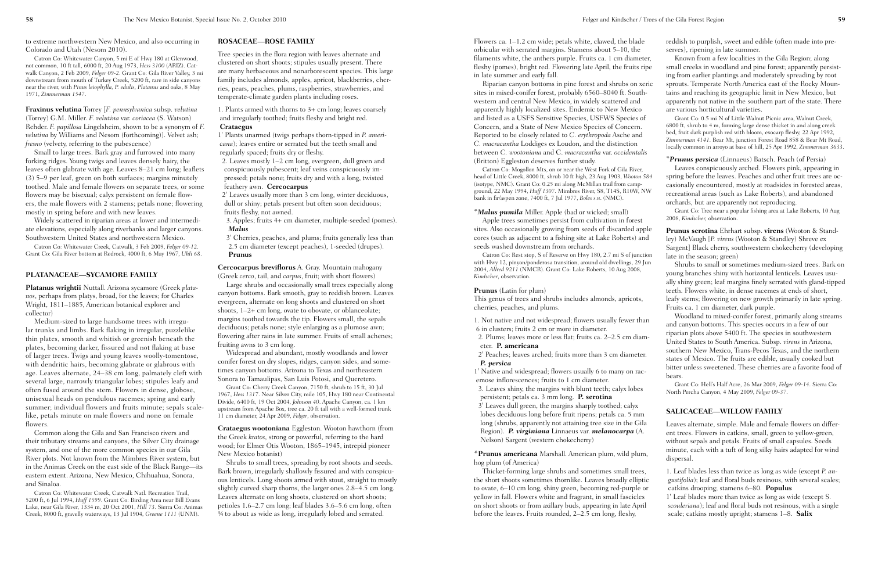Flowers ca. 1–1.2 cm wide; petals white, clawed, the blade orbicular with serrated margins. Stamens about 5–10, the filaments white, the anthers purple. Fruits ca. 1 cm diameter, fleshy (pomes), bright red. Flowering late April, the fruits ripe in late summer and early fall.

Riparian canyon bottoms in pine forest and shrubs on xeric sites in mixed-conifer forest, probably 6560–8040 ft. Southwestern and central New Mexico, in widely scattered and apparently highly localized sites. Endemic to New Mexico and listed as a USFS Sensitive Species, USFWS Species of Concern, and a State of New Mexico Species of Concern. Reported to be closely related to *C. erythropoda* Asche and *C. macracantha* Loddiges ex Loudon, and the distinction between *C. wootoniana* and C. *macracantha* var. *occidentalis* (Britton) Eggleston deserves further study.

Catron Co: Mogollon Mts, on or near the West Fork of Gila River, head of Little Creek, 8000 ft, shrub 10 ft high, 23 Aug 1903, *Wooton 584* (isotype, NMC). Grant Co: 0.25 mi along McMillan trail from campground, 22 May 1994, *Huff 1307*. Mimbres River, S8, T14S, R10W, NW bank in fir/aspen zone, 7400 ft, 7 Jul 1977, *Boles s.n*. (NMC).

#### *\*Malus pumila* Miller. Apple (bad or wicked; small)

Apple trees sometimes persist from cultivation in forest sites. Also occasionally growing from seeds of discarded apple cores (such as adjacent to a fishing site at Lake Roberts) and seeds washed downstream from orchards.

Catron Co: Rest stop, S of Reserve on Hwy 180, 2.7 mi S of junction with Hwy 12, pinyon/ponderosa transition, around old dwellings, 29 Jun 2004, *Allred 9211* (NMCR). Grant Co: Lake Roberts, 10 Aug 2008, *Kindscher*, observation.

#### **Prunus** (Latin for plum)

This genus of trees and shrubs includes almonds, apricots, cherries, peaches, and plums.

emose inflorescences; fruits to 1 cm diameter.

3. Leaves shiny, the margins with blunt teeth; calyx lobes persistent; petals ca. 3 mm long. **P. serotina**

3' Leaves dull green, the margins sharply toothed; calyx lobes deciduous long before fruit ripens; petals ca. 5 mm long (shrubs, apparently not attaining tree size in the Gila Region). *P. virginiana* Linnaeus var. *melanocarpa* (A. Nelson) Sargent (western chokecherry)

**\*Prunus americana** Marshall. American plum, wild plum, hog plum (of America)

Thicket-forming large shrubs and sometimes small trees, the short shoots sometimes thornlike. Leaves broadly elliptic to ovate, 6–10 cm long, shiny green, becoming red-purple or yellow in fall. Flowers white and fragrant, in small fascicles on short shoots or from axillary buds, appearing in late April before the leaves. Fruits rounded, 2–2.5 cm long, fleshy,

reddish to purplish, sweet and edible (often made into preserves), ripening in late summer.

Known from a few localities in the Gila Region; along small creeks in woodland and pine forest; apparently persisting from earlier plantings and moderately spreading by root sprouts. Temperate North America east of the Rocky Mountains and reaching its geographic limit in New Mexico, but apparently not native in the southern part of the state. There are various horticultural varieties.

1. Not native and not widespread; flowers usually fewer than 6 in clusters; fruits 2 cm or more in diameter. 2. Plums; leaves more or less flat; fruits ca. 2–2.5 cm diameter. **P. americana** 2' Peaches; leaves arched; fruits more than 3 cm diameter. *P. persica* 1' Native and widespread; flowers usually 6 to many on rac-Woodland to mixed-conifer forest, primarily along streams and canyon bottoms. This species occurs in a few of our riparian plots above 5400 ft. The species in southwestern United States to South America. Subsp. *virens* in Arizona, southern New Mexico, Trans-Pecos Texas, and the northern states of Mexico. The fruits are edible, usually cooked but bitter unless sweetened. These cherries are a favorite food of bears.

Grant Co: 0.5 mi N of Little Walnut Picnic area, Walnut Creek, 6800 ft, shrub to 4 m, forming large dense thicket in and along creek bed, fruit dark purplish red with bloom, exocarp fleshy, 22 Apr 1992, *Zimmerman 4141*. Bear Mt, junction Forest Road 858 & Bear Mt Road, locally common in arroyo at base of hill, 25 Apr 1992, *Zimmerman 3633*.

\**Prunus persica* (Linnaeus) Batsch. Peach (of Persia) Leaves conspicuously arched. Flowers pink, appearing in spring before the leaves. Peaches and other fruit trees are occasionally encountered, mostly at roadsides in forested areas, recreational areas (such as Lake Roberts), and abandoned orchards, but are apparently not reproducing.

Grant Co: Tree near a popular fishing area at Lake Roberts, 10 Aug 2008, *Kindscher,* observation.

**Prunus serotina** Ehrhart subsp. **virens** (Wooton & Standley) McVaugh [*P. virens* (Wooton & Standley) Shreve ex Sargent] Black cherry, southwestern chokecherry (developing late in the season; green)

Shrubs to small or sometimes medium-sized trees. Bark on young branches shiny with horizontal lenticels. Leaves usually shiny green; leaf margins finely serrated with gland-tipped teeth. Flowers white, in dense racemes at ends of short, leafy stems; flowering on new growth primarily in late spring. Fruits ca. 1 cm diameter, dark purple.

Grant Co: Hell's Half Acre, 26 Mar 2009, *Felger 09-14*. Sierra Co: North Percha Canyon, 4 May 2009, *Felger 09-37*.

#### **SALICACEAE—WILLOW FAMILY**

Leaves alternate, simple. Male and female flowers on different trees. Flowers in catkins, small, green to yellow-green, without sepals and petals. Fruits of small capsules. Seeds minute, each with a tuft of long silky hairs adapted for wind dispersal.

1. Leaf blades less than twice as long as wide (except *P. angustifolia*); leaf and floral buds resinous, with several scales; catkins drooping; stamens 6–80. **Populus** 1' Leaf blades more than twice as long as wide (except S.

*scouleriana*); leaf and floral buds not resinous, with a single scale; catkins mostly upright; stamens 1–8. **Salix**

to extreme northwestern New Mexico, and also occurring in Colorado and Utah (Nesom 2010).

Catron Co: Whitewater Canyon, 5 mi E of Hwy 180 at Glenwood, not common, 10 ft tall, 6000 ft, 20 Aug 1973, *Hess 3100* (ARIZ). Catwalk Canyon, 2 Feb 2009, *Felger 09-2*. Grant Co: Gila River Valley, 3 mi downstream from mouth of Turkey Creek, 5200 ft, rare in side canyons near the river, with *Pinus leiophylla, P. edulis, Platanus* and oaks, 8 May 1971, *Zimmerman 1547*.

**Fraxinus velutina** Torrey [*F. pennsylvanica* subsp. *velutina* (Torrey) G.M. Miller. *F. velutina* var. *coriacea* (S. Watson) Rehder. *F. papillosa* Lingelsheim, shown to be a synonym of *F. velutina* by Williams and Nesom (forthcoming)]. Velvet ash; *fresno* (velvety, referring to the pubescence)

Small to large trees. Bark gray and furrowed into many forking ridges. Young twigs and leaves densely hairy, the leaves often glabrate with age. Leaves 8–21 cm long; leaflets (3) 5–9 per leaf, green on both surfaces; margins minutely toothed. Male and female flowers on separate trees, or some flowers may be bisexual; calyx persistent on female flowers, the male flowers with 2 stamens; petals none; flowering mostly in spring before and with new leaves.

Widely scattered in riparian areas at lower and intermediate elevations, especially along riverbanks and larger canyons. Southwestern United States and northwestern Mexico.

Catron Co: Whitewater Creek, Catwalk, 3 Feb 2009, *Felger 09-12*. Grant Co: Gila River bottom at Redrock, 4000 ft, 6 May 1967, *Uhli 68*.

#### **PLATANACEAE—SYCAMORE FAMILY**

**Platanus wrightii** Nuttall. Arizona sycamore (Greek *platanos*, perhaps from platys, broad, for the leaves; for Charles Wright, 1811–1885, American botanical explorer and collector)

Medium-sized to large handsome trees with irregular trunks and limbs. Bark flaking in irregular, puzzlelike thin plates, smooth and whitish or greenish beneath the plates, becoming darker, fissured and not flaking at base of larger trees. Twigs and young leaves woolly-tomentose, with dendritic hairs, becoming glabrate or glabrous with age. Leaves alternate, 24–38 cm long, palmately cleft with several large, narrowly triangular lobes; stipules leafy and often fused around the stem. Flowers in dense, globose, unisexual heads on pendulous racemes; spring and early summer; individual flowers and fruits minute; sepals scalelike, petals minute on male flowers and none on female flowers.

Common along the Gila and San Francisco rivers and their tributary streams and canyons, the Silver City drainage system, and one of the more common species in our Gila River plots. Not known from the Mimbres River system, but in the Animas Creek on the east side of the Black Range—its eastern extent. Arizona, New Mexico, Chihuahua, Sonora, and Sinaloa.

Catron Co: Whitewater Creek, Catwalk Natl. Recreation Trail, 5200 ft, 6 Jul 1994, *Huff 1599*. Grant Co: Birding Area near Bill Evans Lake, near Gila River, 1334 m, 20 Oct 2001, *Hill 73*. Sierra Co: Animas Creek, 8000 ft, gravelly waterways, 13 Jul 1904, *Greene 1111* (UNM).

#### **ROSACEAE—ROSE FAMILY**

Tree species in the flora region with leaves alternate and clustered on short shoots; stipules usually present. There are many herbaceous and nonarborescent species. This large family includes almonds, apples, apricot, blackberries, cherries, pears, peaches, plums, raspberries, strawberries, and temperate-climate garden plants including roses.

1. Plants armed with thorns to 3+ cm long; leaves coarsely and irregularly toothed; fruits fleshy and bright red. **Crataegus**

1' Plants unarmed (twigs perhaps thorn-tipped in *P. americana*); leaves entire or serrated but the teeth small and regularly spaced; fruits dry or fleshy.

2. Leaves mostly 1–2 cm long, evergreen, dull green and conspicuously pubescent; leaf veins conspicuously impressed; petals none; fruits dry and with a long, twisted feathery awn. **Cercocarpus**

2' Leaves usually more than 3 cm long, winter deciduous, dull or shiny; petals present but often soon deciduous; fruits fleshy, not awned.

3. Apples; fruits 4+ cm diameter, multiple-seeded (pomes). *Malus*

3' Cherries, peaches, and plums; fruits generally less than 2.5 cm diameter (except peaches), 1-seeded (drupes). **Prunus**

**Cercocarpus breviflorus** A. Gray. Mountain mahogany (Greek *cerco*, tail, and *carpus*, fruit; with short flowers)

Large shrubs and occasionally small trees especially along canyon bottoms. Bark smooth, gray to reddish brown. Leaves evergreen, alternate on long shoots and clustered on short shoots, 1–2+ cm long, ovate to obovate, or oblanceolate; margins toothed towards the tip. Flowers small, the sepals deciduous; petals none; style enlarging as a plumose awn; flowering after rains in late summer. Fruits of small achenes; fruiting awns to 3 cm long.

Widespread and abundant, mostly woodlands and lower conifer forest on dry slopes, ridges, canyon sides, and sometimes canyon bottoms. Arizona to Texas and northeastern Sonora to Tamaulipas, San Luis Potosi, and Queretero.

Grant Co: Cherry Creek Canyon, 7150 ft, shrub to 15 ft, 30 Jul 1967, *Hess 1317*. Near Silver City, mile 105, Hwy 180 near Continental Divide, 6400 ft, 19 Oct 2004, *Johnson 40*. Apache Canyon, ca. 1 km upstream from Apache Box, tree ca. 20 ft tall with a well-formed trunk 11 cm diameter, 24 Apr 2009, *Felger*, observation.

**Crataegus wootoniana** Eggleston. Wooton hawthorn (from the Greek *kratos*, strong or powerful, referring to the hard wood; for Elmer Otis Wooton, 1865–1945, intrepid pioneer New Mexico botanist)

Shrubs to small trees, spreading by root shoots and seeds. Bark brown, irregularly shallowly fissured and with conspicuous lenticels. Long shoots armed with stout, straight to mostly slightly curved sharp thorns, the larger ones 2.8–4.5 cm long. Leaves alternate on long shoots, clustered on short shoots; petioles 1.6–2.7 cm long; leaf blades 3.6–5.6 cm long, often ¾ to about as wide as long, irregularly lobed and serrated.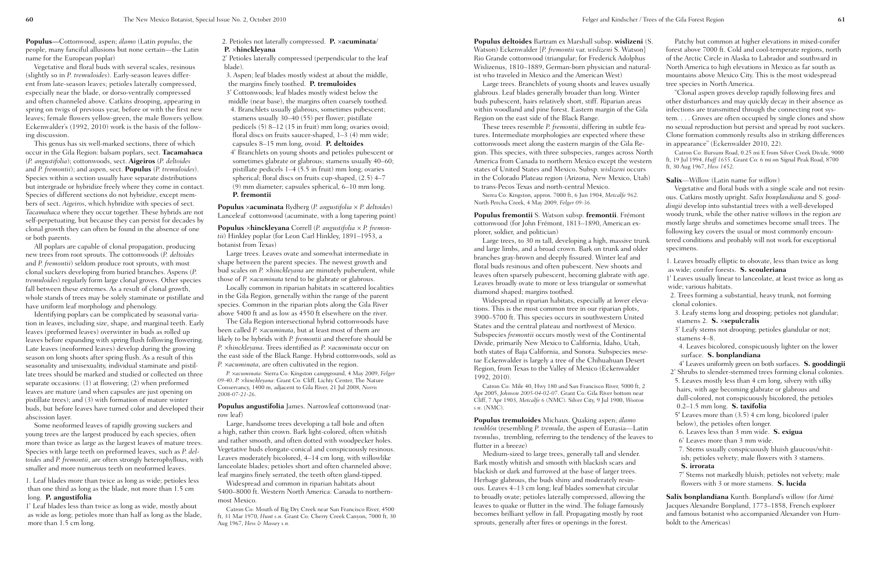**Populus deltoides** Bartram ex Marshall subsp. **wislizeni** (S. Watson) Eckenwalder [*P. fremontii* var. *wislizeni* S. Watson] Rio Grande cottonwood (triangular; for Frederick Adolphus Wislizenus, 1810–1889, German-born physician and naturalist who traveled in Mexico and the American West) glabrous. Leaf blades generally broader than long. Winter buds pubescent, hairs relatively short, stiff. Riparian areas within woodland and pine forest. Eastern margin of the Gila Region on the east side of the Black Range. tures. Intermediate morphologies are expected where these cottonwoods meet along the eastern margin of the Gila Region. This species, with three subspecies, ranges across North America from Canada to northern Mexico except the western states of United States and Mexico. Subsp. *wislizeni* occurs in the Colorado Plateau region (Arizona, New Mexico, Utah) to trans-Pecos Texas and north-central Mexico. North Percha Creek, 4 May 2009, *Felger 09-36.* **Populus fremontii** S. Watson subsp. **fremontii**. Frémont cottonwood (for John Frémont, 1813–1890, American explorer, soldier, and politician) and large limbs, and a broad crown. Bark on trunk and older branches gray-brown and deeply fissured. Winter leaf and floral buds resinous and often pubescent. New shoots and leaves often sparsely pubescent, becoming glabrate with age. Leaves broadly ovate to more or less triangular or somewhat diamond shaped; margins toothed. tions. This is the most common tree in our riparian plots, 3900–5700 ft. This species occurs in southwestern United States and the central plateau and northwest of Mexico. Subspecies *fremontii* occurs mostly west of the Continental Divide, primarily New Mexico to California, Idaho, Utah, both states of Baja California, and Sonora. Subspecies *mesetae* Eckenwalder is largely a tree of the Chihuahuan Desert Region, from Texas to the Valley of Mexico (Eckenwalder 1992, 2010). Apr 2005, *Johnson 2005-04-02-07*. Grant Co: Gila River bottom near Cliff, 7 Apr 1903, *Metcalfe 6* (NMC). Silver City, 9 Jul 1900, *Wooton s.n*. (NMC). **Populus tremuloides** Michaux. Quaking aspen; *álamo temblón* (resembling *P. tremula*, the aspen of Eurasia—Latin *tremulus*, trembling, referring to the tendency of the leaves to flutter in a breeze) Bark mostly whitish and smooth with blackish scars and blackish or dark and furrowed at the base of larger trees. Herbage glabrous, the buds shiny and moderately resin-

Large trees. Branchlets of young shoots and leaves usually These trees resemble *P. fremontii*, differing in subtle fea-Sierra Co: Kingston, approx. 7000 ft, 6 Jun 1904, *Metcalfe 962*. Large trees, to 30 m tall, developing a high, massive trunk Widespread in riparian habitats, especially at lower eleva-Catron Co: Mile 40, Hwy 180 and San Francisco River, 5000 ft, 2 Medium-sized to large trees, generally tall and slender. Patchy but common at higher elevations in mixed-conifer forest above 7000 ft. Cold and cool-temperate regions, north of the Arctic Circle in Alaska to Labrador and southward in North America to high elevations in Mexico as far south as mountains above Mexico City. This is the most widespread tree species in North America. "Clonal aspen groves develop rapidly following fires and other disturbances and may quickly decay in their absence as infections are transmitted through the connecting root system. . . . Groves are often occupied by single clones and show no sexual reproduction but persist and spread by root suckers. Clone formation commonly results also in striking differences in appearance" (Eckenwalder 2010, 22). Catron Co: Bursum Road, 0.25 mi E from Silver Creek Divide, 9000 ft, 19 Jul 1994, *Huff 1655*. Grant Co: 6 mi on Signal Peak Road, 8700 ft, 30 Aug 1967, *Hess 1452*. **Salix**—Willow (Latin name for willow) Vegetative and floral buds with a single scale and not resinous. Catkins mostly upright. *Salix bonplandiana* and *S. gooddingii* develop into substantial trees with a well-developed woody trunk, while the other native willows in the region are mostly large shrubs and sometimes become small trees. The following key covers the usual or most commonly encountered conditions and probably will not work for exceptional specimens. 1. Leaves broadly elliptic to obovate, less than twice as long as wide; conifer forests. **S. scouleriana** 1' Leaves usually linear to lanceolate, at least twice as long as wide; various habitats. 2. Trees forming a substantial, heavy trunk, not forming clonal colonies. 3. Leafy stems long and drooping; petioles not glandular; stamens 2. **S.** ×**sepulcralis** 3' Leafy stems not drooping; petioles glandular or not; stamens 4–8. 4. Leaves bicolored, conspicuously lighter on the lower surface. **S. bonplandiana** 4' Leaves uniformly green on both surfaces. **S. gooddingii** 2' Shrubs to slender-stemmed trees forming clonal colonies. 5. Leaves mostly less than 4 cm long, silvery with silky hairs, with age becoming glabrate or glabrous and dull-colored, not conspicuously bicolored, the petioles 0.2–1.5 mm long. **S. taxifolia** 5' Leaves more than (3.5) 4 cm long, bicolored (paler below), the petioles often longer. 6. Leaves less than 3 mm wide. **S. exigua** 6' Leaves more than 3 mm wide. 7. Stems usually conspicuously bluish glaucous/whitish; petioles velvety; male flowers with 3 stamens. **S. irrorata** 7' Stems not markedly bluish; petioles not velvety; male flowers with 3 or more stamens. **S. lucida**

ous. Leaves 4–13 cm long; leaf blades somewhat circular to broadly ovate; petioles laterally compressed, allowing the leaves to quake or flutter in the wind. The foliage famously becomes brilliant yellow in fall. Propagating mostly by root sprouts, generally after fires or openings in the forest. **Salix bonplandiana** Kunth. Bonpland's willow (for Aimé Jacques Alexandre Bonpland, 1773–1858, French explorer and famous botanist who accompanied Alexander von Humboldt to the Americas)

**Populus—**Cottonwood, aspen; *álamo* (Latin *populus*, the people, many fanciful allusions but none certain—the Latin name for the European poplar)

Vegetative and floral buds with several scales, resinous (slightly so in *P. tremuloides*). Early-season leaves different from late-season leaves; petioles laterally compressed, especially near the blade, or dorso-ventrally compressed and often channeled above. Catkins drooping, appearing in spring on twigs of previous year, before or with the first new leaves; female flowers yellow-green, the male flowers yellow. Eckenwalder's (1992, 2010) work is the basis of the following discussion.

This genus has six well-marked sections, three of which occur in the Gila Region: balsam poplars, sect. **Tacamahaca** (*P. angustifolia*); cottonwoods, sect. **Aigeiros** (*P. deltoides* and *P. fremontii*); and aspen, sect. **Populus** (*P. tremuloides*). Species within a section usually have separate distributions but intergrade or hybridize freely where they come in contact. Species of different sections do not hybridize, except members of sect. *Aigeiros*, which hybridize with species of sect. *Tacamahaca* where they occur together. These hybrids are not self-perpetuating, but because they can persist for decades by clonal growth they can often be found in the absence of one or both parents.

All poplars are capable of clonal propagation, producing new trees from root sprouts. The cottonwoods (*P. deltoides* and *P. fremontii*) seldom produce root sprouts, with most clonal suckers developing from buried branches. Aspens (*P. tremuloides*) regularly form large clonal groves. Other species fall between these extremes. As a result of clonal growth, whole stands of trees may be solely staminate or pistillate and have uniform leaf morphology and phenology.

Identifying poplars can be complicated by seasonal variation in leaves, including size, shape, and marginal teeth. Early leaves (preformed leaves) overwinter in buds as rolled up leaves before expanding with spring flush following flowering. Late leaves (neoformed leaves) develop during the growing season on long shoots after spring flush. As a result of this seasonality and unisexuality, individual staminate and pistillate trees should be marked and studied or collected on three separate occasions: (1) at flowering; (2) when preformed leaves are mature (and when capsules are just opening on pistillate trees); and (3) with formation of mature winter buds, but before leaves have turned color and developed their abscission layer.

Some neoformed leaves of rapidly growing suckers and young trees are the largest produced by each species, often more than twice as large as the largest leaves of mature trees. Species with large teeth on preformed leaves, such as *P. deltoides* and *P. fremontii*, are often strongly heterophyllous, with smaller and more numerous teeth on neoformed leaves.

1. Leaf blades more than twice as long as wide; petioles less than one third as long as the blade, not more than 1.5 cm long. **P. angustifolia**

1' Leaf blades less than twice as long as wide, mostly about as wide as long; petioles more than half as long as the blade, more than 1.5 cm long.

#### 2. Petioles not laterally compressed. **P.** ×**acuminata**/ **P.** ×**hinckleyana**

2' Petioles laterally compressed (perpendicular to the leaf blade).

3. Aspen; leaf blades mostly widest at about the middle, the margins finely toothed. **P. tremuloides** 3' Cottonwoods; leaf blades mostly widest below the middle (near base), the margins often coarsely toothed. 4. Branchlets usually glabrous, sometimes pubescent; stamens usually 30–40 (55) per flower; pistillate pedicels (5) 8–12 (15 in fruit) mm long; ovaries ovoid; floral discs on fruits saucer-shaped, 1–3 (4) mm wide; capsules 8–15 mm long, ovoid. **P. deltoides** 4' Branchlets on young shoots and petioles pubescent or sometimes glabrate or glabrous; stamens usually 40–60; pistillate pedicels 1–4 (5.5 in fruit) mm long; ovaries spherical; floral discs on fruits cup-shaped, (2.5) 4–7 (9) mm diameter; capsules spherical, 6–10 mm long. **P. fremontii**

**Populus** ×**acuminata** Rydberg (*P. angustifolia* × *P. deltoides*) Lanceleaf cottonwood (acuminate, with a long tapering point)

**Populus** ×**hinckleyana** Correll (*P. angustifolia* × *P. fremontii*) Hinkley poplar (for Leon Carl Hinkley, 1891–1953, a botanist from Texas)

Large trees. Leaves ovate and somewhat intermediate in shape between the parent species. The newest growth and bud scales on *P. ×hinckleyana* are minutely puberulent, while those of *P. ×acuminata* tend to be glabrate or glabrous.

Locally common in riparian habitats in scattered localities in the Gila Region, generally within the range of the parent species. Common in the riparian plots along the Gila River above 5400 ft and as low as 4550 ft elsewhere on the river.

The Gila Region intersectional hybrid cottonwoods have been called *P. ×acuminata*, but at least most of them are likely to be hybrids with *P. fremontii* and therefore should be *P. ×hinckleyana*. Trees identified as *P. ×acuminata* occur on the east side of the Black Range. Hybrid cottonwoods, sold as *P. ×acuminata*, are often cultivated in the region.

*P. ×acuminata*: Sierra Co: Kingston campground, 4 May 2009, *Felger 09-40*. *P. ×hinckleyana*: Grant Co: Cliff, Lichty Center, The Nature Conservancy, 1400 m, adjacent to Gila River, 21 Jul 2008, *Norris 2008-07-21-26*.

**Populus angustifolia** James. Narrowleaf cottonwood (narrow leaf)

Large, handsome trees developing a tall bole and often a high, rather thin crown. Bark light-colored, often whitish and rather smooth, and often dotted with woodpecker holes. Vegetative buds elongate-conical and conspicuously resinous. Leaves moderately bicolored, 4–14 cm long, with willowlike lanceolate blades; petioles short and often channeled above; leaf margins finely serrated, the teeth often gland-tipped.

Widespread and common in riparian habitats about 5400–8000 ft. Western North America: Canada to northernmost Mexico.

Catron Co: Mouth of Big Dry Creek near San Francisco River, 4500 ft, 31 Mar 1970, *Hunt s.n*. Grant Co: Cherry Creek Canyon, 7000 ft, 30 Aug 1967, *Hess & Massey s.n.*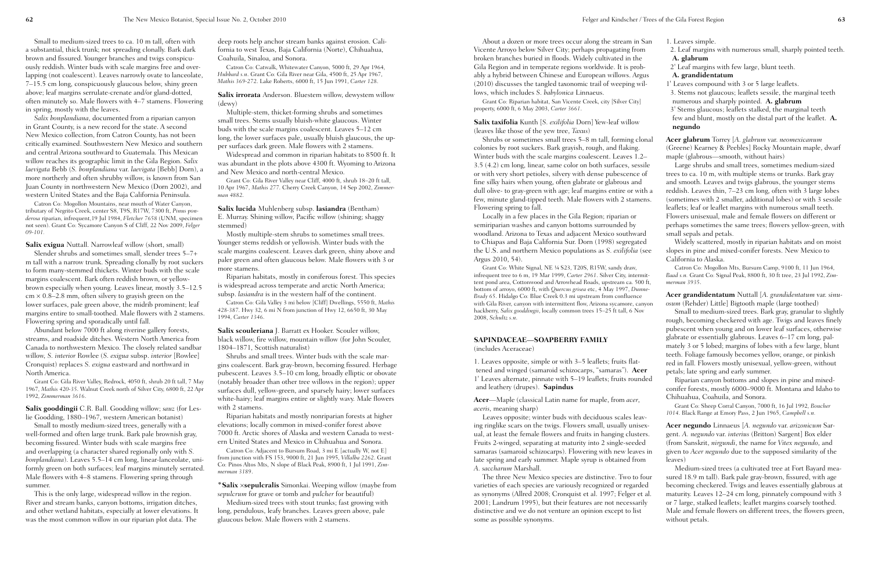About a dozen or more trees occur along the stream in Vicente Arroyo below Silver City; perhaps propagating from broken branches buried in floods. Widely cultivated in the Gila Region and in temperate regions worldwide. It is probably a hybrid between Chinese and European willows. Ar  $(2010)$  discusses the tangled taxonomic trail of weeping  $\nu$ lows, which includes *S. babylonica* Linnaeus.

Grant Co: Riparian habitat, San Vicente Creek, city [Silver City] property, 6000 ft, 6 May 2003, *Carter 3661*.

Shrubs or sometimes small trees  $5-8$  m tall, forming c colonies by root suckers. Bark grayish, rough, and flaking. Winter buds with the scale margins coalescent. Leaves 1.  $3.5$  (4.2) cm long, linear, same color on both surfaces, ses or with very short petioles, silvery with dense pubescence fine silky hairs when young, often glabrate or glabrous and dull olive- to gray-green with age; leaf margins entire or w few, minute gland-tipped teeth. Male flowers with 2 stam Flowering spring to fall.

**Salix taxifolia** Kunth [*S. exilifolia* Dorn] Yew-leaf willow (leaves like those of the yew tree, *Taxus*)

Leaves opposite; winter buds with deciduous scales lea ing ringlike scars on the twigs. Flowers small, usually unis ual, at least the female flowers and fruits in hanging clust Fruits 2-winged, separating at maturity into 2 single-seed samaras (samaroid schizocarps). Flowering with new leave late spring and early summer. Maple syrup is obtained from *A. saccharum* Marshall.

Locally in a few places in the Gila Region; riparian or semiriparian washes and canyon bottoms surrounded by woodland. Arizona to Texas and adjacent Mexico southward to Chiapas and Baja California Sur. Dorn (1998) segregat the U.S. and northern Mexico populations as *S. exilifolia* Argus 2010, 54).

The three New Mexico species are distinctive. Two to varieties of each species are variously recognized or regard as synonyms (Allred 2008; Cronquist et al. 1997; Felger 2001; Landrum 1995), but their features are not necessar distinctive and we do not venture an opinion except to list some as possible synonyms.

Grant Co: White Signal, NE ¼ S23, T20S, R15W, sandy draw, infrequent tree to 6 m, 19 Mar 1999, *Carter 2961*. Silver City, inter tent pond area, Cottonwood and Arrowhead Roads, upstream ca. 500 ft bottom of arroyo, 6000 ft, with *Quercus grisea* etc, 4 May 1997, *Du Brady 65*. Hidalgo Co: Blue Creek 0.3 mi upstream from confluence with Gila River, canyon with intermittent flow, Arizona sycamore, can hackberry, *Salix gooddingii*, locally common trees 15-25 ft tall, 6 No 2008, *Schultz s.n*.

### **SAPINDACEAE—SOAPBERRY FAMILY**

(includes Aceraceae)

1. Leaves opposite, simple or with 3–5 leaflets; fruits flattened and winged (samaroid schizocarps, "samaras"). **Ac** 1' Leaves alternate, pinnate with 5–19 leaflets; fruits round and leathery (drupes). **Sapindus**

**Acer**—Maple (classical Latin name for maple, from *acer*, *aceris*, meaning sharp)

| ı San<br>m<br>e                     | 1. Leaves simple.<br>2. Leaf margins with numerous small, sharply pointed teeth.<br>A. glabrum                                                                                                                                                                                                                                                                                                                 |
|-------------------------------------|----------------------------------------------------------------------------------------------------------------------------------------------------------------------------------------------------------------------------------------------------------------------------------------------------------------------------------------------------------------------------------------------------------------|
| b-<br>gus <sup>-</sup>              | 2' Leaf margins with few large, blunt teeth.<br>A. grandidentatum                                                                                                                                                                                                                                                                                                                                              |
| vil-<br>7]                          | 1' Leaves compound with 3 or 5 large leaflets.<br>3. Stems not glaucous; leaflets sessile, the marginal teeth<br>numerous and sharply pointed. A. glabrum                                                                                                                                                                                                                                                      |
| $\bar{r}$                           | 3' Stems glaucous; leaflets stalked, the marginal teeth<br>few and blunt, mostly on the distal part of the leaflet. A.<br>negundo                                                                                                                                                                                                                                                                              |
| :lonal<br>$-2-$                     | <b>Acer glabrum</b> Torrey [A. glabrum var. neomexicanum<br>(Greene) Kearney & Peebles] Rocky Mountain maple, dwarf<br>maple (glabrous—smooth, without hairs)                                                                                                                                                                                                                                                  |
| ssile<br>e of<br>d                  | Large shrubs and small trees, sometimes medium-sized<br>trees to ca. 10 m, with multiple stems or trunks. Bark gray<br>and smooth. Leaves and twigs glabrous, the younger stems                                                                                                                                                                                                                                |
| ⁄ith a<br>iens.                     | reddish. Leaves thin, 7–23 cm long, often with 3 large lobes<br>(sometimes with 2 smaller, additional lobes) or with 3 sessile<br>leaflets; leaf or leaflet margins with numerous small teeth.<br>Flowers unisexual, male and female flowers on different or<br>perhaps sometimes the same trees; flowers yellow-green, with                                                                                   |
| ard<br>ted                          | small sepals and petals.<br>Widely scattered, mostly in riparian habitats and on moist                                                                                                                                                                                                                                                                                                                         |
| (see                                | slopes in pine and mixed-conifer forests. New Mexico to<br>California to Alaska.                                                                                                                                                                                                                                                                                                                               |
| rmit-<br>00 ft,                     | Catron Co: Mogollon Mts, Bursum Camp, 9100 ft, 11 Jun 1964,<br>Baad s.n. Grant Co: Signal Peak, 8800 ft, 30 ft tree, 23 Jul 1992, Zim-<br>merman 3935.                                                                                                                                                                                                                                                         |
| nne-<br>e:<br>anyon<br><b>OV</b>    | Acer grandidentatum Nuttall [A. grandidentatum var. sinu-<br>osum (Rehder) Little] Bigtooth maple (large toothed)<br>Small to medium-sized trees. Bark gray, granular to slightly<br>rough, becoming checkered with age. Twigs and leaves finely                                                                                                                                                               |
|                                     | pubescent when young and on lower leaf surfaces, otherwise<br>glabrate or essentially glabrous. Leaves 6–17 cm long, pal-<br>mately 3 or 5 lobed; margins of lobes with a few large, blunt<br>teeth. Foliage famously becomes yellow, orange, or pinkish                                                                                                                                                       |
| er<br>nded                          | red in fall. Flowers mostly unisexual, yellow-green, without<br>petals; late spring and early summer.<br>Riparian canyon bottoms and slopes in pine and mixed-<br>conifer forests, mostly 6000-9000 ft. Montana and Idaho to<br>Chihuahua, Coahuila, and Sonora.                                                                                                                                               |
| ,<br>av-                            | Grant Co: Sheep Corral Canyon, 7000 ft, 16 Jul 1992, Boucher<br>1014. Black Range at Emory Pass, 2 Jun 1965, Campbell s.n.                                                                                                                                                                                                                                                                                     |
| sex-<br>ters.<br>ed<br>es in<br>эm  | Acer negundo Linnaeus [A. negundo var. arizonicum Sar-<br>gent. A. negundo var. interius (Britton) Sargent] Box elder<br>(from Sanskrit, nirgundi, the name for Vitex negundo, and<br>given to Acer negundo due to the supposed similarity of the<br>leaves)                                                                                                                                                   |
| four<br>ded<br>et al.<br>rily<br>;t | Medium-sized trees (a cultivated tree at Fort Bayard mea-<br>sured 18.9 m tall). Bark pale gray-brown, fissured, with age<br>becoming checkered. Twigs and leaves essentially glabrous at<br>maturity. Leaves 12-24 cm long, pinnately compound with 3<br>or 7 large, stalked leaflets; leaflet margins coarsely toothed.<br>Male and female flowers on different trees, the flowers green,<br>without petals. |
|                                     |                                                                                                                                                                                                                                                                                                                                                                                                                |

**Salix scouleriana** *J. Barratt ex Hooker. Scouler willow,* black willow, fire willow, mountain willow (for John Scouler, 1804–1871, Scottish naturalist)

Small to medium-sized trees to ca. 10 m tall, often with a substantial, thick trunk; not spreading clonally. Bark dark brown and fissured. Younger branches and twigs conspicuously reddish. Winter buds with scale margins free and overlapping (not coalescent). Leaves narrowly ovate to lanceolate, 7–15.5 cm long, conspicuously glaucous below, shiny green above; leaf margins serrulate-crenate and/or gland-dotted, often minutely so. Male flowers with 4–7 stamens. Flowering in spring, mostly with the leaves.

*Salix bonplandiana*, documented from a riparian canyon in Grant County, is a new record for the state. A second New Mexico collection, from Catron County, has not been critically examined. Southwestern New Mexico and southern and central Arizona southward to Guatemala. This Mexican willow reaches its geographic limit in the Gila Region. *Salix laevigata* Bebb (*S. bonplandiana* var. *laevigata* [Bebb] Dorn), a more northerly and often shrubby willow, is known from San Juan County in northwestern New Mexico (Dorn 2002), and western United States and the Baja California Peninsula.

Catron Co: Mogollon Mountains, near mouth of Water Canyon, tributary of Negrito Creek, center S8, T9S, R17W, 7300 ft, *Pinus ponderosa* riparian, infrequent,19 Jul 1984, *Fletcher 7658* (UNM, specimen not seen). Grant Co: Sycamore Canyon S of Cliff, 22 Nov 2009, *Felger 09-101.*

**Salix exigua** Nuttall. Narrowleaf willow (short, small)

Slender shrubs and sometimes small, slender trees 5–7+ m tall with a narrow trunk. Spreading clonally by root suckers to form many-stemmed thickets. Winter buds with the scale margins coalescent. Bark often reddish brown, or yellowbrown especially when young. Leaves linear, mostly 3.5–12.5  $cm \times 0.8{\text -}2.8$  mm, often silvery to grayish green on the lower surfaces, pale green above, the midrib prominent; leaf margins entire to small-toothed. Male flowers with 2 stamens. Flowering spring and sporadically until fall.

Abundant below 7000 ft along riverine gallery forests, streams, and roadside ditches. Western North America from Canada to northwestern Mexico. The closely related sandbar willow, *S. interior* Rowlee (*S. exigua* subsp. *interior* [Rowlee] Cronquist) replaces *S. exigua* eastward and northward in North America.

Grant Co: Gila River Valley, Redrock, 4050 ft, shrub 20 ft tall, 7 May 1967, *Mathis 420-35*. Walnut Creek north of Silver City, 6800 ft, 22 Apr 1992, *Zimmerman 3616*.

**Salix gooddingii** C.R. Ball. Goodding willow; *sauz* (for Leslie Goodding, 1880–1967, western American botanist)

Small to mostly medium-sized trees, generally with a well-formed and often large trunk. Bark pale brownish gray, becoming fissured. Winter buds with scale margins free and overlapping (a character shared regionally only with *S. bonplandiana*). Leaves 5.5–14 cm long, linear-lanceolate, uniformly green on both surfaces; leaf margins minutely serrated. Male flowers with 4–8 stamens. Flowering spring through summer.

This is the only large, widespread willow in the region. River and stream banks, canyon bottoms, irrigation ditches, and other wetland habitats, especially at lower elevations. It was the most common willow in our riparian plot data. The

deep roots help anchor stream banks against erosion. California to west Texas, Baja California (Norte), Chihuahua, Coahuila, Sinaloa, and Sonora.

Catron Co: Catwalk, Whitewater Canyon, 5000 ft, 29 Apr 1964, *Hubbard s.n*. Grant Co: Gila River near Gila, 4500 ft, 25 Apr 1967, *Mathis 369-272*. Lake Roberts, 6000 ft, 15 Jun 1991, *Carter 128*.

#### **Salix irrorata** Anderson. Bluestem willow, dewystem willow (dewy)

Multiple-stem, thicket-forming shrubs and sometimes small trees. Stems usually bluish-white glaucous. Winter buds with the scale margins coalescent. Leaves 5–12 cm long, the lower surfaces pale, usually bluish glaucous, the upper surfaces dark green. Male flowers with 2 stamens.

Widespread and common in riparian habitats to 8500 ft. It was abundant in the plots above 4300 ft. Wyoming to Arizona and New Mexico and north-central Mexico.

Grant Co: Gila River Valley near Cliff, 4000 ft, shrub 18–20 ft tall, 10 Apr 1967, *Mathis 277*. Cherry Creek Canyon, 14 Sep 2002, *Zimmerman 4882*.

**Salix lucida** Muhlenberg subsp. **lasiandra** (Bentham) E. Murray. Shining willow, Pacific willow (shining; shaggy stemmed)

Mostly multiple-stem shrubs to sometimes small trees. Younger stems reddish or yellowish. Winter buds with the scale margins coalescent. Leaves dark green, shiny above and paler green and often glaucous below. Male flowers with 3 or more stamens.

Riparian habitats, mostly in coniferous forest. This species is widespread across temperate and arctic North America; subsp. *lasiandra* is in the western half of the continent.

Catron Co: Gila Valley 3 mi below [Cliff] Dwellings, 5550 ft, *Mathis 428-387*. Hwy 32, 6 mi N from junction of Hwy 12, 6650 ft, 30 May 1994, *Carter 1346*.

Shrubs and small trees. Winter buds with the scale margins coalescent. Bark gray-brown, becoming fissured. Herbage pubescent. Leaves 3.5–10 cm long, broadly elliptic or obovate (notably broader than other tree willows in the region); upper surfaces dull, yellow-green, and sparsely hairy; lower surfaces white-hairy; leaf margins entire or slightly wavy. Male flowers with 2 stamens.

Riparian habitats and mostly nonriparian forests at higher elevations; locally common in mixed-conifer forest above 7000 ft. Arctic shores of Alaska and western Canada to western United States and Mexico in Chihuahua and Sonora.

Catron Co: Adjacent to Bursum Road, 3 mi E [actually W, not E] from junction with FS 153, 9000 ft, 21 Jun 1995, *Villalba 2262*. Grant Co: Pinos Altos Mts, N slope of Black Peak, 8900 ft, 1 Jul 1991, *Zimmerman 3189*.

**\*Salix** ×**sepulcralis** Simonkai. Weeping willow (maybe from *sepulcrum* for grave or tomb and *pulcher* for beautiful)

Medium-sized trees with stout trunks; fast growing with long, pendulous, leafy branches. Leaves green above, pale glaucous below. Male flowers with 2 stamens.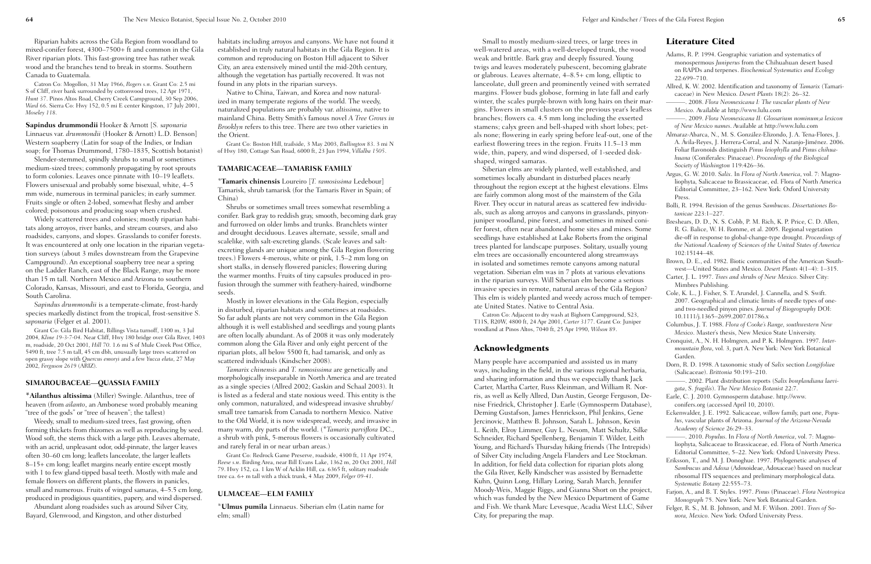Small to mostly medium-sized trees, or large trees in well-watered areas, with a well-developed trunk, the wood weak and brittle. Bark gray and deeply fissured. Young twigs and leaves moderately pubescent, becoming glabrate or glabrous. Leaves alternate, 4–8.5+ cm long, elliptic to lanceolate, dull green and prominently veined with serrated margins. Flower buds globose, forming in late fall and early winter, the scales purple-brown with long hairs on their margins. Flowers in small clusters on the previous year's leafless branches; flowers ca. 4.5 mm long including the exserted stamens; calyx green and bell-shaped with short lobes; petals none; flowering in early spring before leaf-out, one of the earliest flowering trees in the region. Fruits 11.5–13 mm wide, thin, papery, and wind dispersed, of 1-seeded diskshaped, winged samaras.

Siberian elms are widely planted, well established, and sometimes locally abundant in disturbed places nearly throughout the region except at the highest elevations. Elms are fairly common along most of the mainstem of the Gila River. They occur in natural areas as scattered few individuals, such as along arroyos and canyons in grasslands, pinyonjuniper woodland, pine forest, and sometimes in mixed conifer forest, often near abandoned home sites and mines. Some seedlings have established at Lake Roberts from the original trees planted for landscape purposes. Solitary, usually young elm trees are occasionally encountered along streamways in isolated and sometimes remote canyons among natural vegetation. Siberian elm was in 7 plots at various elevations in the riparian surveys. Will Siberian elm become a serious invasive species in remote, natural areas of the Gila Region? This elm is widely planted and weedy across much of temperate United States. Native to Central Asia.

Catron Co: Adjacent to dry wash at Bighorn Campground, S23, T11S, R20W, 4800 ft, 24 Apr 2001, *Carter 3177*. Grant Co: Juniper woodland at Pinos Altos, 7040 ft, 25 Apr 1990, *Wilson 89*.

#### Acknowledgments

Many people have accompanied and assisted us in many ways, including in the field, in the various regional herbaria, and sharing information and thus we especially thank Jack Carter, Martha Carter, Russ Kleinman, and William R. Norris, as well as Kelly Allred, Dan Austin, George Ferguson, Denise Friedrick, Christopher J. Earle (Gymnosperm Database), Deming Gustafson, James Henrickson, Phil Jenkins, Gene Jercinovic, Matthew B. Johnson, Sarah L. Johnson, Kevin L. Keith, Elroy Limmer, Guy L. Nesom, Matt Schultz, Silke Schneider, Richard Spellenberg, Benjamin T. Wilder, Leith Young, and Richard's Thursday hiking friends (The Intrepids) of Silver City including Angela Flanders and Lee Stockman. In addition, for field data collection for riparian plots along the Gila River, Kelly Kindscher was assisted by Bernadette Kuhn, Quinn Long, Hillary Loring, Sarah March, Jennifer Moody-Weis, Maggie Riggs, and Gianna Short on the project, which was funded by the New Mexico Department of Game and Fish. We thank Marc Levesque, Acadia West LLC, Silver City, for preparing the map.

#### Literature Cited

Adams, R. P. 1994. Geographic variation and systematics of monospermous *Juniperus* from the Chihuahuan desert based on RAPDs and terpenes. *Biochemical Systematics and Ecology* 22:699–710. Allred, K. W. 2002. Identification and taxonomy of *Tamarix* (Tamaricaceae) in New Mexico. *Desert Plants* 18(2): 26–32. ———. 2008. *Flora Neomexicana I: The vascular plants of New Mexico.* Available at http://www.lulu.com ———. 2009. *Flora Neomexicana II: Glossarium nominum;a lexicon of New Mexico names*. Available at http://www.lulu.com Almaraz-Abarca, N., M. S. González-Elizondo, J. A. Tena-Flores, J. A. Ávila-Reyes, J. Herrera-Corral, and N. Naranjo-Jiménez. 2006. Foliar flavonoids distinguish *Pinus leiophylla* and *Pinus chihuahuana* (Coniferales: Pinaceae). *Proceedings of the Biological Society of Washington* 119:426–36. Argus, G. W. 2010. *Salix*. In *Flora of North America*, vol. 7: Magnoliophyta, Salicaceae to Brassicaceae, ed. Flora of North America Editorial Committee, 23–162. New York: Oxford University Press. Bolli, R. 1994. Revision of the genus *Sambucus*. *Dissertationes Botanicae* 223:1–227. Breshears, D. D., N. S. Cobb, P. M. Rich, K. P. Price, C. D. Allen, R. G. Balice, W. H. Romme, et al. 2005. Regional vegetation die-off in response to global-change-type drought. *Proceedings of the National Academy of Sciences of the United States of America* 102:15144–48. Brown, D. E., ed. 1982. Biotic communities of the American Southwest—United States and Mexico. *Desert Plants* 4(1–4): 1–315. Carter, J. L. 1997. *Trees and shrubs of New Mexico*. Silver City: Mimbres Publishing. Cole, K. L., J. Fisher, S. T. Arundel, J. Cannella, and S. Swift. 2007. Geographical and climatic limits of needle types of oneand two-needled pinyon pines. *Journal of Biogeography* DOI: 10.1111/j.1365–2699.2007.01786.x Columbus, J. T. 1988. *Flora of Cooke's Range, southwestern New Mexico*. Master's thesis, New Mexico State University. Cronquist, A., N. H. Holmgren, and P. K. Holmgren. 1997. *Intermountain flora*, vol. 3, part A. New York: New York Botanical Garden. Dorn, R. D. 1998. A taxonomic study of *Salix* section *Longifolia*e (Salicaceae). *Brittonia* 50:193–210. ———. 2002. Plant distribution reports (*Salix bonplandiana laevigata*, *S. fragilis*). *The New Mexico Botanist* 22:7. Earle, C. J. 2010. Gymnosperm database. http://www. conifers.org (accessed April 10, 2010). Eckenwalder, J. E. 1992. Salicaceae, willow family, part one, *Populus*, vascular plants of Arizona. *Journal of the Arizona-Nevada Academy of Science* 26:29–33. ———. 2010. *Populus*. In *Flora of North America*, vol. 7: Magnoliophyta, Salicaceae to Brassicaceae, ed. Flora of North America Editorial Committee, 5–22. New York: Oxford University Press. Eriksson, T., and M. J. Donoghue. 1997. Phylogenetic analyses of *Sambucus* and *Adoxa* (Adoxoideae, Adoxaceae) based on nuclear ribosomal ITS sequences and preliminary morphological data. *Systematic Botany* 22:555–73. Farjon, A., and B. T. Styles. 1997. *Pinus* (Pinaceae). *Flora Neotropica Monograph* 75. New York: New York Botanical Garden. Felger, R. S., M. B. Johnson, and M. F. Wilson. 2001. *Trees of Sonora, Mexico*. New York: Oxford University Press.

Riparian habits across the Gila Region from woodland to mixed-conifer forest, 4300–7500+ ft and common in the Gila River riparian plots. This fast-growing tree has rather weak wood and the branches tend to break in storms. Southern Canada to Guatemala.

Catron Co: Mogollon, 31 May 1966, *Rogers s.n*. Grant Co: 2.5 mi S of Cliff, river bank surrounded by cottonwood trees, 12 Apr 1971, *Hunt 37*. Pinos Altos Road, Cherry Creek Campground, 30 Sep 2006, *Ward 66*. Sierra Co: Hwy 152, 0.5 mi E center Kingston, 17 July 2001, *Moseley 118*.

**Sapindus drummondii** Hooker & Arnott [*S. saponaria* Linnaeus var. *drummondii* (Hooker & Arnott) L.D. Benson] Western soapberry (Latin for soap of the Indies, or Indian soap; for Thomas Drummond, 1780–1835, Scottish botanist)

Slender-stemmed, spindly shrubs to small or sometimes medium-sized trees; commonly propagating by root sprouts to form colonies. Leaves once pinnate with 10–19 leaflets. Flowers unisexual and probably some bisexual, white, 4–5 mm wide, numerous in terminal panicles; in early summer. Fruits single or often 2-lobed, somewhat fleshy and amber colored; poisonous and producing soap when crushed.

Widely scattered trees and colonies; mostly riparian habitats along arroyos, river banks, and stream courses, and also roadsides, canyons, and slopes. Grasslands to conifer forests. It was encountered at only one location in the riparian vegetation surveys (about 3 miles downstream from the Grapevine Campground). An exceptional soapberry tree near a spring on the Ladder Ranch, east of the Black Range, may be more than 15 m tall. Northern Mexico and Arizona to southern Colorado, Kansas, Missouri, and east to Florida, Georgia, and South Carolina.

*Sapindus drummondii* is a temperate-climate, frost-hardy species markedly distinct from the tropical, frost-sensitive *S. saponaria* (Felger et al. 2001).

Grant Co: Gila Bird Habitat, Billings Vista turnoff, 1300 m, 3 Jul 2004, *Kline 19-3-7-04*. Near Cliff, Hwy 180 bridge over Gila River, 1403 m, roadside, 20 Oct 2001, *Hill 70*. 1.6 mi S of Mule Creek Post Office, 5490 ft, tree 7.5 m tall, 45 cm dbh, unusually large trees scattered on open grassy slope with *Quercus emoryi* and a few *Yucca elata*, 27 May 2002, *Ferguson 2619* (ARIZ).

#### **SIMAROUBACEAE—QUASSIA FAMILY**

**\*Ailanthus altissima** (Miller) Swingle. Ailanthus, tree of heaven (from *ailanto*, an Ambonese word probably meaning "tree of the gods" or "tree of heaven"; the tallest)

Weedy, small to medium-sized trees, fast growing, often forming thickets from rhizomes as well as reproducing by seed. Wood soft, the stems thick with a large pith. Leaves alternate, with an acrid, unpleasant odor, odd-pinnate, the larger leaves often 30–60 cm long; leaflets lanceolate, the larger leaflets 8–15+ cm long; leaflet margins nearly entire except mostly with 1 to few gland-tipped basal teeth. Mostly with male and female flowers on different plants, the flowers in panicles, small and numerous. Fruits of winged samaras, 4–5.5 cm long, produced in prodigious quantities, papery, and wind dispersed.

Abundant along roadsides such as around Silver City, Bayard, Glenwood, and Kingston, and other disturbed

habitats including arroyos and canyons. We have not found it established in truly natural habitats in the Gila Region. It is common and reproducing on Boston Hill adjacent to Silver City, an area extensively mined until the mid-20th century, although the vegetation has partially recovered. It was not found in any plots in the riparian surveys.

Native to China, Taiwan, and Korea and now naturalized in many temperate regions of the world. The weedy, naturalized populations are probably var. *altissima*, native to mainland China. Betty Smith's famous novel *A Tree Grows in Brooklyn* refers to this tree. There are two other varieties in the Orient.

Grant Co: Boston Hill, trailside, 3 May 2003, *Bullington 83*. 3 mi N of Hwy 180, Cottage San Road, 6000 ft, 23 Jun 1994, *Villalba 1505*.

#### **TAMARICACEAE—TAMARISK FAMILY**

\***Tamarix chinensis** Loureiro [*T. ramosissima* Ledebour] Tamarisk, shrub tamarisk (for the Tamaris River in Spain; of China)

Shrubs or sometimes small trees somewhat resembling a conifer. Bark gray to reddish gray, smooth, becoming dark gray and furrowed on older limbs and trunks. Branchlets winter and drought deciduous. Leaves alternate, sessile, small and scalelike, with salt-excreting glands. (Scale leaves and saltexcreting glands are unique among the Gila Region flowering trees.) Flowers 4-merous, white or pink, 1.5–2 mm long on short stalks, in densely flowered panicles; flowering during the warmer months. Fruits of tiny capsules produced in profusion through the summer with feathery-haired, windborne seeds.

Mostly in lower elevations in the Gila Region, especially in disturbed, riparian habitats and sometimes at roadsides. So far adult plants are not very common in the Gila Region although it is well established and seedlings and young plants are often locally abundant. As of 2008 it was only moderately common along the Gila River and only eight percent of the riparian plots, all below 5500 ft, had tamarisk, and only as scattered individuals (Kindscher 2008).

*Tamarix chinensis* and *T. ramosissima* are genetically and morphologically inseparable in North America and are treated as a single species (Allred 2002; Gaskin and Schaal 2003). It is listed as a federal and state noxious weed. This entity is the only common, naturalized, and widespread invasive shrubby/ small tree tamarisk from Canada to northern Mexico. Native to the Old World, it is now widespread, weedy, and invasive in many warm, dry parts of the world. (\**Tamarix parviflora* DC., a shrub with pink, 5-merous flowers is occasionally cultivated and rarely feral in or near urban areas.)

Grant Co: Redrock Game Preserve, roadside, 4300 ft, 11 Apr 1974, *Reese s.n*. Birding Area, near Bill Evans Lake, 1362 m, 20 Oct 2001, *Hill 79*. Hwy 152, ca. 1 km W of Acklin Hill, ca. 6365 ft, solitary roadside tree ca. 6+ m tall with a thick trunk, 4 May 2009, *Felger 09-41*.

#### **ULMACEAE—ELM FAMILY**

\***Ulmus pumila** Linnaeus. Siberian elm (Latin name for elm; small)